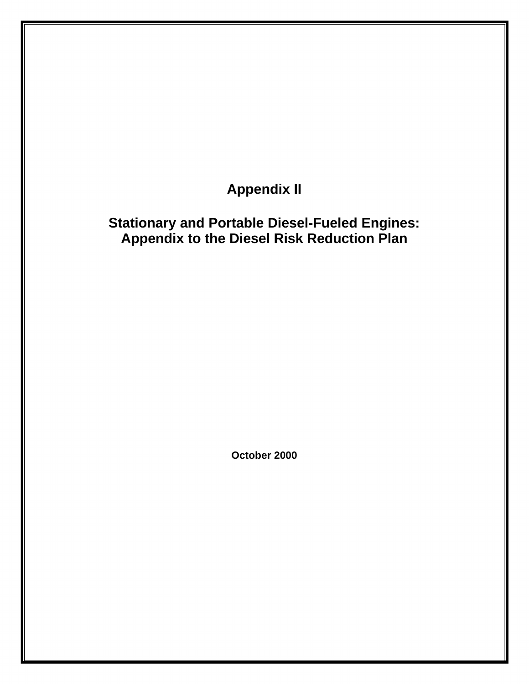**Appendix II** 

## **Stationary and Portable Diesel-Fueled Engines: Appendix to the Diesel Risk Reduction Plan**

**October 2000**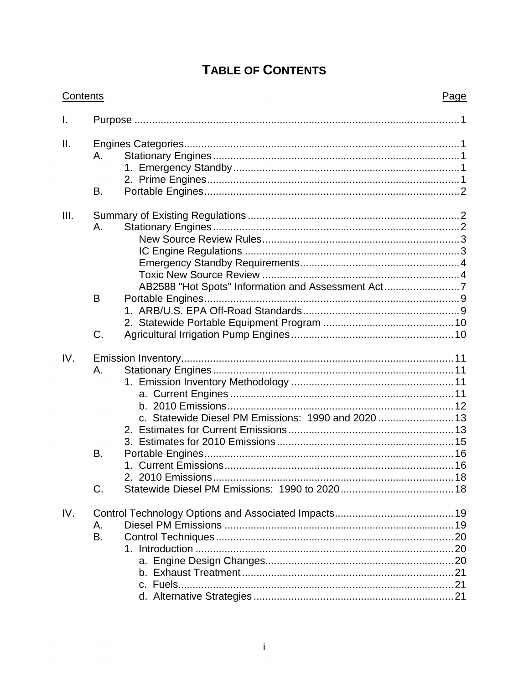## **TABLE OF CONTENTS**

| Contents | Page                                                                                       |  |
|----------|--------------------------------------------------------------------------------------------|--|
| I.       |                                                                                            |  |
| ΙΙ.      | А.<br>B.                                                                                   |  |
| III.     |                                                                                            |  |
|          | Α.<br>AB2588 "Hot Spots" Information and Assessment Act7                                   |  |
|          | B                                                                                          |  |
|          | C.                                                                                         |  |
| IV.      | Α.<br>c. Statewide Diesel PM Emissions: 1990 and 2020  13<br>B.<br>2. 2010 Emissions<br>C. |  |
| IV.      | А.<br>B.                                                                                   |  |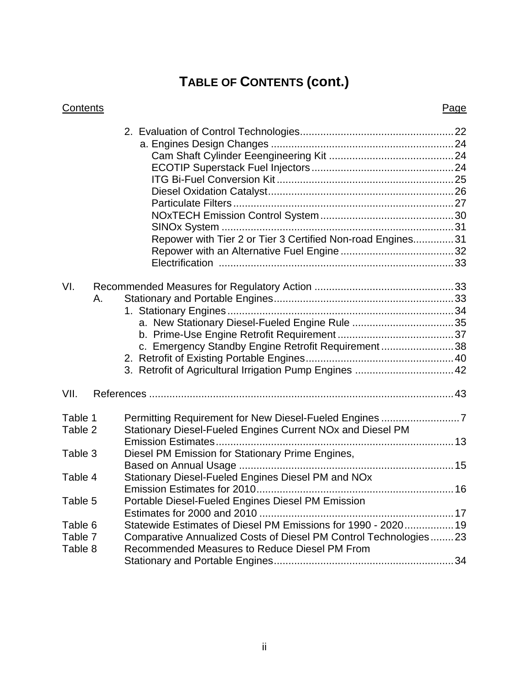# **TABLE OF CONTENTS (cont.)**

| Contents           |    |                                                                                                                                                                 | Page |
|--------------------|----|-----------------------------------------------------------------------------------------------------------------------------------------------------------------|------|
|                    |    | Repower with Tier 2 or Tier 3 Certified Non-road Engines31                                                                                                      |      |
| VI.                | А. | a. New Stationary Diesel-Fueled Engine Rule 35<br>c. Emergency Standby Engine Retrofit Requirement38<br>3. Retrofit of Agricultural Irrigation Pump Engines  42 |      |
| VII.               |    |                                                                                                                                                                 |      |
| Table 1<br>Table 2 |    | Stationary Diesel-Fueled Engines Current NOx and Diesel PM                                                                                                      |      |
| Table 3            |    | Diesel PM Emission for Stationary Prime Engines,                                                                                                                |      |
| Table 4            |    | Stationary Diesel-Fueled Engines Diesel PM and NOx<br>Emission Estimates for 2010<br>16                                                                         |      |
| Table 5            |    | Portable Diesel-Fueled Engines Diesel PM Emission                                                                                                               |      |
| Table 6            |    | Statewide Estimates of Diesel PM Emissions for 1990 - 2020 19                                                                                                   |      |
| Table 7            |    | Comparative Annualized Costs of Diesel PM Control Technologies23                                                                                                |      |
| Table 8            |    | Recommended Measures to Reduce Diesel PM From                                                                                                                   |      |

ii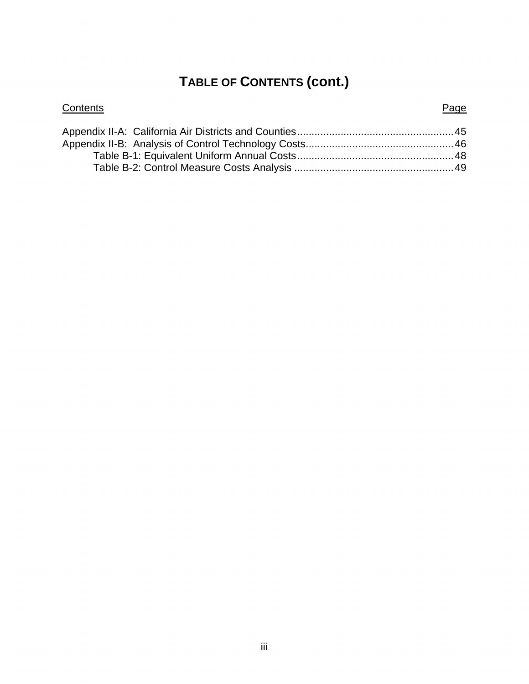## **TABLE OF CONTENTS (cont.)**

| Contents | Page |
|----------|------|
|          |      |
|          |      |
|          |      |
|          |      |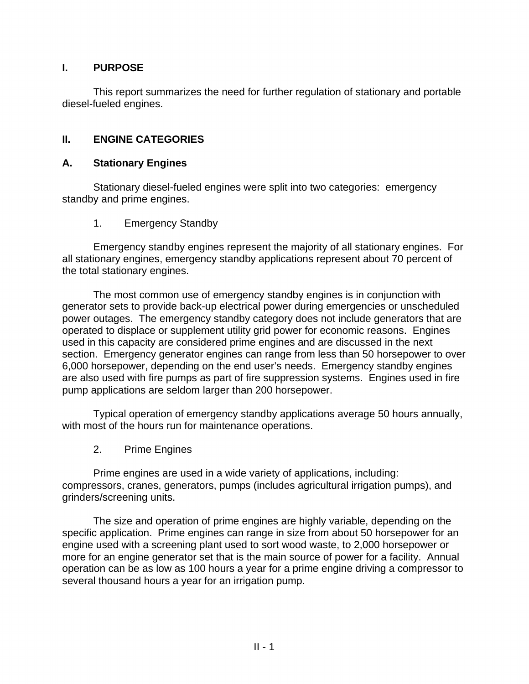### **I. PURPOSE**

This report summarizes the need for further regulation of stationary and portable diesel-fueled engines.

### **II. ENGINE CATEGORIES**

#### **A. Stationary Engines**

Stationary diesel-fueled engines were split into two categories: emergency standby and prime engines.

1. Emergency Standby

Emergency standby engines represent the majority of all stationary engines. For all stationary engines, emergency standby applications represent about 70 percent of the total stationary engines.

The most common use of emergency standby engines is in conjunction with generator sets to provide back-up electrical power during emergencies or unscheduled power outages. The emergency standby category does not include generators that are operated to displace or supplement utility grid power for economic reasons. Engines used in this capacity are considered prime engines and are discussed in the next section. Emergency generator engines can range from less than 50 horsepower to over 6,000 horsepower, depending on the end user's needs. Emergency standby engines are also used with fire pumps as part of fire suppression systems. Engines used in fire pump applications are seldom larger than 200 horsepower.

Typical operation of emergency standby applications average 50 hours annually, with most of the hours run for maintenance operations.

2. Prime Engines

Prime engines are used in a wide variety of applications, including: compressors, cranes, generators, pumps (includes agricultural irrigation pumps), and grinders/screening units.

The size and operation of prime engines are highly variable, depending on the specific application. Prime engines can range in size from about 50 horsepower for an engine used with a screening plant used to sort wood waste, to 2,000 horsepower or more for an engine generator set that is the main source of power for a facility. Annual operation can be as low as 100 hours a year for a prime engine driving a compressor to several thousand hours a year for an irrigation pump.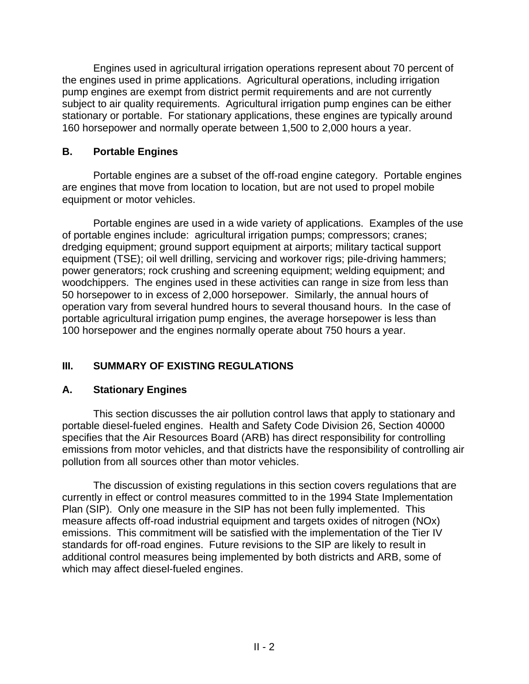Engines used in agricultural irrigation operations represent about 70 percent of the engines used in prime applications. Agricultural operations, including irrigation pump engines are exempt from district permit requirements and are not currently subject to air quality requirements. Agricultural irrigation pump engines can be either stationary or portable. For stationary applications, these engines are typically around 160 horsepower and normally operate between 1,500 to 2,000 hours a year.

### **B. Portable Engines**

Portable engines are a subset of the off-road engine category. Portable engines are engines that move from location to location, but are not used to propel mobile equipment or motor vehicles.

Portable engines are used in a wide variety of applications. Examples of the use of portable engines include: agricultural irrigation pumps; compressors; cranes; dredging equipment; ground support equipment at airports; military tactical support equipment (TSE); oil well drilling, servicing and workover rigs; pile-driving hammers; power generators; rock crushing and screening equipment; welding equipment; and woodchippers. The engines used in these activities can range in size from less than 50 horsepower to in excess of 2,000 horsepower. Similarly, the annual hours of operation vary from several hundred hours to several thousand hours. In the case of portable agricultural irrigation pump engines, the average horsepower is less than 100 horsepower and the engines normally operate about 750 hours a year.

## **III. SUMMARY OF EXISTING REGULATIONS**

### **A. Stationary Engines**

This section discusses the air pollution control laws that apply to stationary and portable diesel-fueled engines. Health and Safety Code Division 26, Section 40000 specifies that the Air Resources Board (ARB) has direct responsibility for controlling emissions from motor vehicles, and that districts have the responsibility of controlling air pollution from all sources other than motor vehicles.

The discussion of existing regulations in this section covers regulations that are currently in effect or control measures committed to in the 1994 State Implementation Plan (SIP). Only one measure in the SIP has not been fully implemented. This measure affects off-road industrial equipment and targets oxides of nitrogen (NOx) emissions. This commitment will be satisfied with the implementation of the Tier IV standards for off-road engines. Future revisions to the SIP are likely to result in additional control measures being implemented by both districts and ARB, some of which may affect diesel-fueled engines.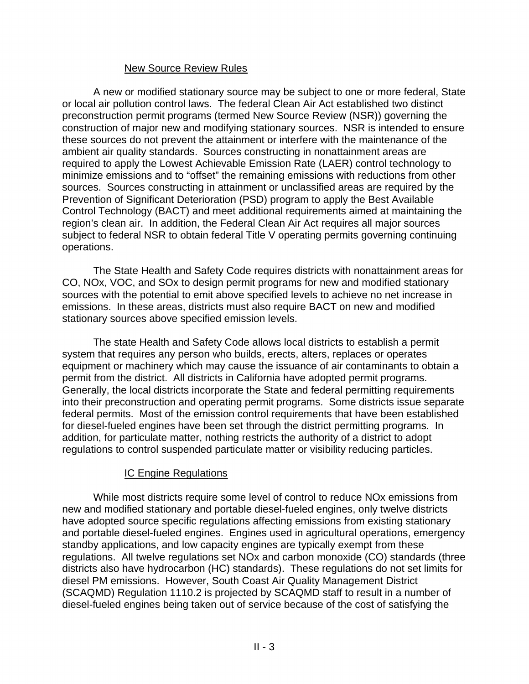#### New Source Review Rules

A new or modified stationary source may be subject to one or more federal, State or local air pollution control laws. The federal Clean Air Act established two distinct preconstruction permit programs (termed New Source Review (NSR)) governing the construction of major new and modifying stationary sources. NSR is intended to ensure these sources do not prevent the attainment or interfere with the maintenance of the ambient air quality standards. Sources constructing in nonattainment areas are required to apply the Lowest Achievable Emission Rate (LAER) control technology to minimize emissions and to "offset" the remaining emissions with reductions from other sources. Sources constructing in attainment or unclassified areas are required by the Prevention of Significant Deterioration (PSD) program to apply the Best Available Control Technology (BACT) and meet additional requirements aimed at maintaining the region's clean air. In addition, the Federal Clean Air Act requires all major sources subject to federal NSR to obtain federal Title V operating permits governing continuing operations.

The State Health and Safety Code requires districts with nonattainment areas for CO, NOx, VOC, and SOx to design permit programs for new and modified stationary sources with the potential to emit above specified levels to achieve no net increase in emissions. In these areas, districts must also require BACT on new and modified stationary sources above specified emission levels.

The state Health and Safety Code allows local districts to establish a permit system that requires any person who builds, erects, alters, replaces or operates equipment or machinery which may cause the issuance of air contaminants to obtain a permit from the district. All districts in California have adopted permit programs. Generally, the local districts incorporate the State and federal permitting requirements into their preconstruction and operating permit programs. Some districts issue separate federal permits. Most of the emission control requirements that have been established for diesel-fueled engines have been set through the district permitting programs. In addition, for particulate matter, nothing restricts the authority of a district to adopt regulations to control suspended particulate matter or visibility reducing particles.

### IC Engine Regulations

While most districts require some level of control to reduce NOx emissions from new and modified stationary and portable diesel-fueled engines, only twelve districts have adopted source specific regulations affecting emissions from existing stationary and portable diesel-fueled engines. Engines used in agricultural operations, emergency standby applications, and low capacity engines are typically exempt from these regulations. All twelve regulations set NOx and carbon monoxide (CO) standards (three districts also have hydrocarbon (HC) standards). These regulations do not set limits for diesel PM emissions. However, South Coast Air Quality Management District (SCAQMD) Regulation 1110.2 is projected by SCAQMD staff to result in a number of diesel-fueled engines being taken out of service because of the cost of satisfying the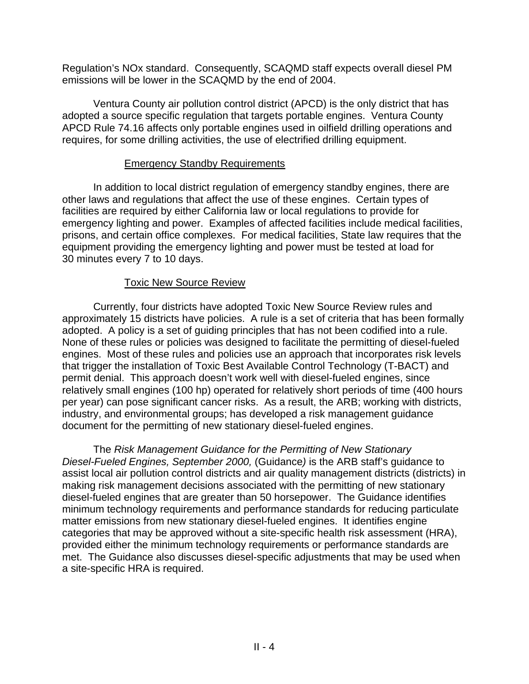Regulation's NOx standard. Consequently, SCAQMD staff expects overall diesel PM emissions will be lower in the SCAQMD by the end of 2004.

Ventura County air pollution control district (APCD) is the only district that has adopted a source specific regulation that targets portable engines. Ventura County APCD Rule 74.16 affects only portable engines used in oilfield drilling operations and requires, for some drilling activities, the use of electrified drilling equipment.

#### Emergency Standby Requirements

In addition to local district regulation of emergency standby engines, there are other laws and regulations that affect the use of these engines. Certain types of facilities are required by either California law or local regulations to provide for emergency lighting and power. Examples of affected facilities include medical facilities, prisons, and certain office complexes. For medical facilities, State law requires that the equipment providing the emergency lighting and power must be tested at load for 30 minutes every 7 to 10 days.

### Toxic New Source Review

Currently, four districts have adopted Toxic New Source Review rules and approximately 15 districts have policies. A rule is a set of criteria that has been formally adopted. A policy is a set of guiding principles that has not been codified into a rule. None of these rules or policies was designed to facilitate the permitting of diesel-fueled engines. Most of these rules and policies use an approach that incorporates risk levels that trigger the installation of Toxic Best Available Control Technology (T-BACT) and permit denial. This approach doesn't work well with diesel-fueled engines, since relatively small engines (100 hp) operated for relatively short periods of time (400 hours per year) can pose significant cancer risks. As a result, the ARB; working with districts, industry, and environmental groups; has developed a risk management guidance document for the permitting of new stationary diesel-fueled engines.

The *Risk Management Guidance for the Permitting of New Stationary Diesel-Fueled Engines, September 2000,* (Guidance*)* is the ARB staff's guidance to assist local air pollution control districts and air quality management districts (districts) in making risk management decisions associated with the permitting of new stationary diesel-fueled engines that are greater than 50 horsepower. The Guidance identifies minimum technology requirements and performance standards for reducing particulate matter emissions from new stationary diesel-fueled engines. It identifies engine categories that may be approved without a site-specific health risk assessment (HRA), provided either the minimum technology requirements or performance standards are met. The Guidance also discusses diesel-specific adjustments that may be used when a site-specific HRA is required.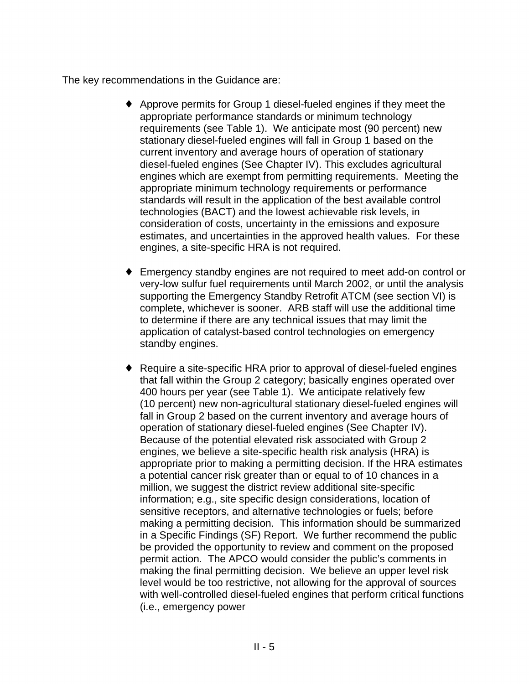The key recommendations in the Guidance are:

- $\triangle$  Approve permits for Group 1 diesel-fueled engines if they meet the appropriate performance standards or minimum technology requirements (see Table 1). We anticipate most (90 percent) new stationary diesel-fueled engines will fall in Group 1 based on the current inventory and average hours of operation of stationary diesel-fueled engines (See Chapter IV). This excludes agricultural engines which are exempt from permitting requirements. Meeting the appropriate minimum technology requirements or performance standards will result in the application of the best available control technologies (BACT) and the lowest achievable risk levels, in consideration of costs, uncertainty in the emissions and exposure estimates, and uncertainties in the approved health values. For these engines, a site-specific HRA is not required.
- Emergency standby engines are not required to meet add-on control or very-low sulfur fuel requirements until March 2002, or until the analysis supporting the Emergency Standby Retrofit ATCM (see section VI) is complete, whichever is sooner. ARB staff will use the additional time to determine if there are any technical issues that may limit the application of catalyst-based control technologies on emergency standby engines.
- $\triangle$  Require a site-specific HRA prior to approval of diesel-fueled engines that fall within the Group 2 category; basically engines operated over 400 hours per year (see Table 1). We anticipate relatively few (10 percent) new non-agricultural stationary diesel-fueled engines will fall in Group 2 based on the current inventory and average hours of operation of stationary diesel-fueled engines (See Chapter IV). Because of the potential elevated risk associated with Group 2 engines, we believe a site-specific health risk analysis (HRA) is appropriate prior to making a permitting decision. If the HRA estimates a potential cancer risk greater than or equal to of 10 chances in a million, we suggest the district review additional site-specific information; e.g., site specific design considerations, location of sensitive receptors, and alternative technologies or fuels; before making a permitting decision. This information should be summarized in a Specific Findings (SF) Report. We further recommend the public be provided the opportunity to review and comment on the proposed permit action. The APCO would consider the public's comments in making the final permitting decision. We believe an upper level risk level would be too restrictive, not allowing for the approval of sources with well-controlled diesel-fueled engines that perform critical functions (i.e., emergency power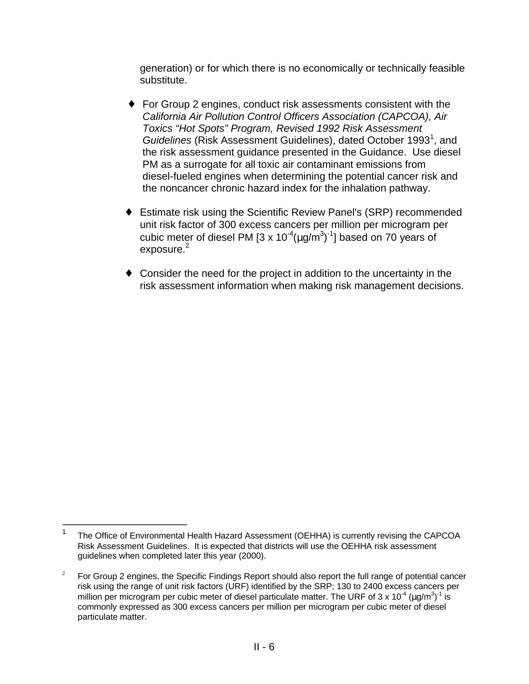generation) or for which there is no economically or technically feasible substitute.

- $\bullet$  For Group 2 engines, conduct risk assessments consistent with the *California Air Pollution Control Officers Association (CAPCOA), Air Toxics "Hot Spots" Program, Revised 1992 Risk Assessment*  Guidelines (Risk Assessment Guidelines), dated October 1993<sup>1</sup>, and the risk assessment guidance presented in the Guidance. Use diesel PM as a surrogate for all toxic air contaminant emissions from diesel-fueled engines when determining the potential cancer risk and the noncancer chronic hazard index for the inhalation pathway.
- ◆ Estimate risk using the Scientific Review Panel's (SRP) recommended unit risk factor of 300 excess cancers per million per microgram per cubic meter of diesel PM [3 x 10<sup>-4</sup>( $\mu$ g/m<sup>3</sup>)<sup>-1</sup>] based on 70 years of  $exposure.<sup>2</sup>$
- $\bullet$  Consider the need for the project in addition to the uncertainty in the risk assessment information when making risk management decisions.

 $\overline{a}$ 

<sup>1</sup> The Office of Environmental Health Hazard Assessment (OEHHA) is currently revising the CAPCOA Risk Assessment Guidelines. It is expected that districts will use the OEHHA risk assessment guidelines when completed later this year (2000).

 $\overline{2}$ <sup>2</sup>For Group 2 engines, the Specific Findings Report should also report the full range of potential cancer risk using the range of unit risk factors (URF) identified by the SRP; 130 to 2400 excess cancers per million per microgram per cubic meter of diesel particulate matter. The URF of 3 x 10<sup>-4</sup> (µg/m<sup>3</sup>)<sup>-1</sup> is commonly expressed as 300 excess cancers per million per microgram per cubic meter of diesel particulate matter.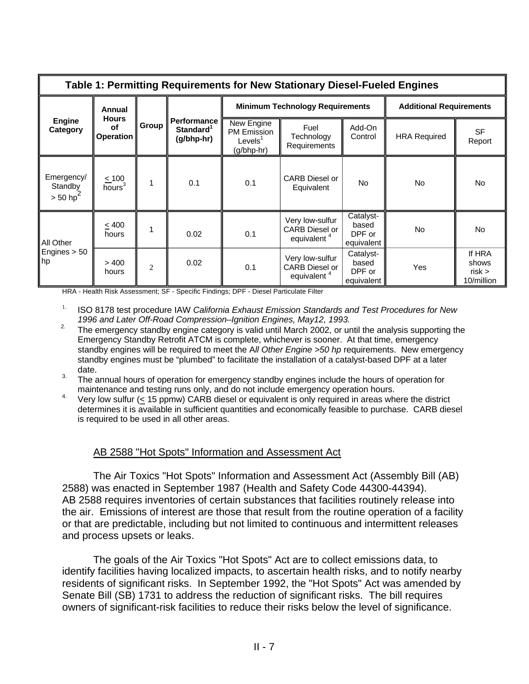| Table 1: Permitting Requirements for New Stationary Diesel-Fueled Engines |                                           |                |                                                           |                                                         |                                                                     |                                            |                                |                                       |  |  |
|---------------------------------------------------------------------------|-------------------------------------------|----------------|-----------------------------------------------------------|---------------------------------------------------------|---------------------------------------------------------------------|--------------------------------------------|--------------------------------|---------------------------------------|--|--|
|                                                                           | Annual                                    |                |                                                           |                                                         | <b>Minimum Technology Requirements</b>                              |                                            | <b>Additional Requirements</b> |                                       |  |  |
| <b>Engine</b><br>Category                                                 | <b>Hours</b><br><b>of</b><br>Operation    | Group          | <b>Performance</b><br>Standard <sup>1</sup><br>(g/bhp-hr) | New Engine<br>PM Emission<br>Levels $1$<br>$(g/bhp-hr)$ | Fuel<br>Technology<br><b>Requirements</b>                           | Add-On<br>Control                          | <b>HRA Required</b>            | <b>SF</b><br>Report                   |  |  |
| Emergency/<br>Standby<br>$> 50$ hp <sup>2</sup>                           | $\leq 100$<br>$\overline{\text{hours}}^3$ | 1              | 0.1                                                       | 0.1                                                     | <b>CARB</b> Diesel or<br>Equivalent                                 | <b>No</b>                                  | No                             | No.                                   |  |  |
| All Other<br>Engines $> 50$<br>$\parallel$ hp                             | $\leq 400$<br>hours                       |                | 0.02                                                      | 0.1                                                     | Very low-sulfur<br><b>CARB Diesel or</b><br>equivalent <sup>4</sup> | Catalyst-<br>based<br>DPF or<br>equivalent | <b>No</b>                      | No.                                   |  |  |
|                                                                           | >400<br>hours                             | $\overline{c}$ | 0.02                                                      | 0.1                                                     | Very low-sulfur<br><b>CARB Diesel or</b><br>equivalent <sup>4</sup> | Catalyst-<br>based<br>DPF or<br>equivalent | Yes                            | If HRA<br>shows<br>risk<br>10/million |  |  |

HRA - Health Risk Assessment; SF - Specific Findings; DPF - Diesel Particulate Filter

<sup>1.</sup> ISO 8178 test procedure IAW *California Exhaust Emission Standards and Test Procedures for New* 

- *1996 and Later Off-Road Compression–Ignition Engines, May12, 1993.* 2. The emergency standby engine category is valid until March 2002, or until the analysis supporting the Emergency Standby Retrofit ATCM is complete, whichever is sooner. At that time, emergency standby engines will be required to meet the A*ll Other Engine >50 hp* requirements. New emergency standby engines must be "plumbed" to facilitate the installation of a catalyst-based DPF at a later date.
- <sup>3.</sup> The annual hours of operation for emergency standby engines include the hours of operation for
- maintenance and testing runs only, and do not include emergency operation hours.<br><sup>4.</sup> Very low sulfur (< 15 ppmw) CARB diesel or equivalent is only required in areas where the district determines it is available in sufficient quantities and economically feasible to purchase. CARB diesel is required to be used in all other areas.

#### AB 2588 "Hot Spots" Information and Assessment Act

The Air Toxics "Hot Spots" Information and Assessment Act (Assembly Bill (AB) 2588) was enacted in September 1987 (Health and Safety Code 44300-44394). AB 2588 requires inventories of certain substances that facilities routinely release into the air. Emissions of interest are those that result from the routine operation of a facility or that are predictable, including but not limited to continuous and intermittent releases and process upsets or leaks.

The goals of the Air Toxics "Hot Spots" Act are to collect emissions data, to identify facilities having localized impacts, to ascertain health risks, and to notify nearby residents of significant risks. In September 1992, the "Hot Spots" Act was amended by Senate Bill (SB) 1731 to address the reduction of significant risks. The bill requires owners of significant-risk facilities to reduce their risks below the level of significance.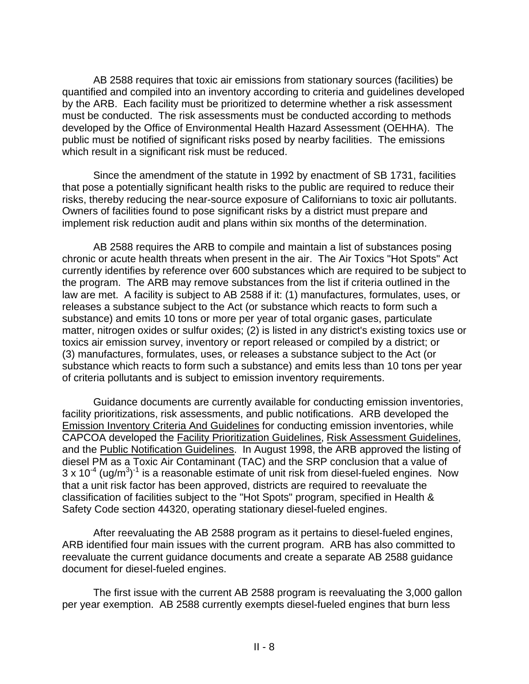AB 2588 requires that toxic air emissions from stationary sources (facilities) be quantified and compiled into an inventory according to criteria and guidelines developed by the ARB. Each facility must be prioritized to determine whether a risk assessment must be conducted. The risk assessments must be conducted according to methods developed by the Office of Environmental Health Hazard Assessment (OEHHA). The public must be notified of significant risks posed by nearby facilities. The emissions which result in a significant risk must be reduced.

Since the amendment of the statute in 1992 by enactment of SB 1731, facilities that pose a potentially significant health risks to the public are required to reduce their risks, thereby reducing the near-source exposure of Californians to toxic air pollutants. Owners of facilities found to pose significant risks by a district must prepare and implement risk reduction audit and plans within six months of the determination.

AB 2588 requires the ARB to compile and maintain a list of substances posing chronic or acute health threats when present in the air. The Air Toxics "Hot Spots" Act currently identifies by reference over 600 substances which are required to be subject to the program. The ARB may remove substances from the list if criteria outlined in the law are met. A facility is subject to AB 2588 if it: (1) manufactures, formulates, uses, or releases a substance subject to the Act (or substance which reacts to form such a substance) and emits 10 tons or more per year of total organic gases, particulate matter, nitrogen oxides or sulfur oxides; (2) is listed in any district's existing toxics use or toxics air emission survey, inventory or report released or compiled by a district; or (3) manufactures, formulates, uses, or releases a substance subject to the Act (or substance which reacts to form such a substance) and emits less than 10 tons per year of criteria pollutants and is subject to emission inventory requirements.

Guidance documents are currently available for conducting emission inventories, facility prioritizations, risk assessments, and public notifications. ARB developed the Emission Inventory Criteria And Guidelines for conducting emission inventories, while CAPCOA developed the Facility Prioritization Guidelines, Risk Assessment Guidelines, and the Public Notification Guidelines. In August 1998, the ARB approved the listing of diesel PM as a Toxic Air Contaminant (TAC) and the SRP conclusion that a value of 3 x 10<sup>-4</sup> (ug/m<sup>3</sup>)<sup>-1</sup> is a reasonable estimate of unit risk from diesel-fueled engines. Now that a unit risk factor has been approved, districts are required to reevaluate the classification of facilities subject to the "Hot Spots" program, specified in Health & Safety Code section 44320, operating stationary diesel-fueled engines.

After reevaluating the AB 2588 program as it pertains to diesel-fueled engines, ARB identified four main issues with the current program. ARB has also committed to reevaluate the current guidance documents and create a separate AB 2588 guidance document for diesel-fueled engines.

The first issue with the current AB 2588 program is reevaluating the 3,000 gallon per year exemption. AB 2588 currently exempts diesel-fueled engines that burn less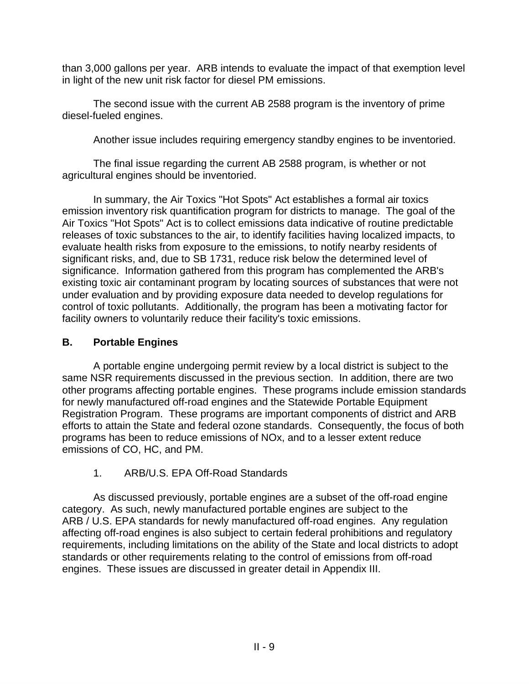than 3,000 gallons per year. ARB intends to evaluate the impact of that exemption level in light of the new unit risk factor for diesel PM emissions.

The second issue with the current AB 2588 program is the inventory of prime diesel-fueled engines.

Another issue includes requiring emergency standby engines to be inventoried.

The final issue regarding the current AB 2588 program, is whether or not agricultural engines should be inventoried.

In summary, the Air Toxics "Hot Spots" Act establishes a formal air toxics emission inventory risk quantification program for districts to manage. The goal of the Air Toxics "Hot Spots" Act is to collect emissions data indicative of routine predictable releases of toxic substances to the air, to identify facilities having localized impacts, to evaluate health risks from exposure to the emissions, to notify nearby residents of significant risks, and, due to SB 1731, reduce risk below the determined level of significance. Information gathered from this program has complemented the ARB's existing toxic air contaminant program by locating sources of substances that were not under evaluation and by providing exposure data needed to develop regulations for control of toxic pollutants. Additionally, the program has been a motivating factor for facility owners to voluntarily reduce their facility's toxic emissions.

### **B. Portable Engines**

A portable engine undergoing permit review by a local district is subject to the same NSR requirements discussed in the previous section. In addition, there are two other programs affecting portable engines. These programs include emission standards for newly manufactured off-road engines and the Statewide Portable Equipment Registration Program. These programs are important components of district and ARB efforts to attain the State and federal ozone standards. Consequently, the focus of both programs has been to reduce emissions of NOx, and to a lesser extent reduce emissions of CO, HC, and PM.

### 1. ARB/U.S. EPA Off-Road Standards

As discussed previously, portable engines are a subset of the off-road engine category. As such, newly manufactured portable engines are subject to the ARB / U.S. EPA standards for newly manufactured off-road engines. Any regulation affecting off-road engines is also subject to certain federal prohibitions and regulatory requirements, including limitations on the ability of the State and local districts to adopt standards or other requirements relating to the control of emissions from off-road engines. These issues are discussed in greater detail in Appendix III.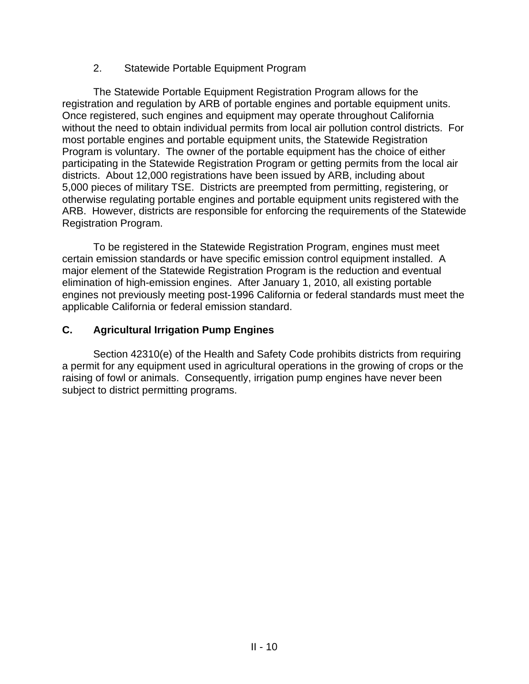#### 2. Statewide Portable Equipment Program

The Statewide Portable Equipment Registration Program allows for the registration and regulation by ARB of portable engines and portable equipment units. Once registered, such engines and equipment may operate throughout California without the need to obtain individual permits from local air pollution control districts. For most portable engines and portable equipment units, the Statewide Registration Program is voluntary. The owner of the portable equipment has the choice of either participating in the Statewide Registration Program or getting permits from the local air districts. About 12,000 registrations have been issued by ARB, including about 5,000 pieces of military TSE. Districts are preempted from permitting, registering, or otherwise regulating portable engines and portable equipment units registered with the ARB. However, districts are responsible for enforcing the requirements of the Statewide Registration Program.

To be registered in the Statewide Registration Program, engines must meet certain emission standards or have specific emission control equipment installed. A major element of the Statewide Registration Program is the reduction and eventual elimination of high-emission engines. After January 1, 2010, all existing portable engines not previously meeting post-1996 California or federal standards must meet the applicable California or federal emission standard.

### **C. Agricultural Irrigation Pump Engines**

Section 42310(e) of the Health and Safety Code prohibits districts from requiring a permit for any equipment used in agricultural operations in the growing of crops or the raising of fowl or animals. Consequently, irrigation pump engines have never been subject to district permitting programs.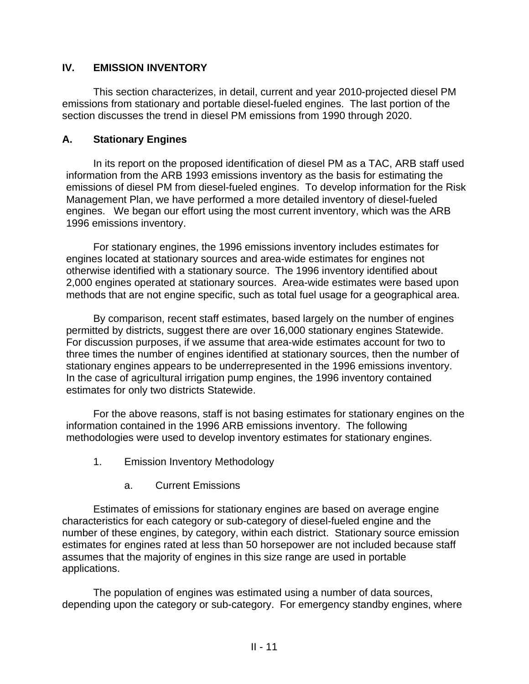### **IV. EMISSION INVENTORY**

This section characterizes, in detail, current and year 2010-projected diesel PM emissions from stationary and portable diesel-fueled engines. The last portion of the section discusses the trend in diesel PM emissions from 1990 through 2020.

### **A. Stationary Engines**

In its report on the proposed identification of diesel PM as a TAC, ARB staff used information from the ARB 1993 emissions inventory as the basis for estimating the emissions of diesel PM from diesel-fueled engines. To develop information for the Risk Management Plan, we have performed a more detailed inventory of diesel-fueled engines. We began our effort using the most current inventory, which was the ARB 1996 emissions inventory.

For stationary engines, the 1996 emissions inventory includes estimates for engines located at stationary sources and area-wide estimates for engines not otherwise identified with a stationary source. The 1996 inventory identified about 2,000 engines operated at stationary sources. Area-wide estimates were based upon methods that are not engine specific, such as total fuel usage for a geographical area.

By comparison, recent staff estimates, based largely on the number of engines permitted by districts, suggest there are over 16,000 stationary engines Statewide. For discussion purposes, if we assume that area-wide estimates account for two to three times the number of engines identified at stationary sources, then the number of stationary engines appears to be underrepresented in the 1996 emissions inventory. In the case of agricultural irrigation pump engines, the 1996 inventory contained estimates for only two districts Statewide.

For the above reasons, staff is not basing estimates for stationary engines on the information contained in the 1996 ARB emissions inventory. The following methodologies were used to develop inventory estimates for stationary engines.

- 1. Emission Inventory Methodology
	- a. Current Emissions

Estimates of emissions for stationary engines are based on average engine characteristics for each category or sub-category of diesel-fueled engine and the number of these engines, by category, within each district. Stationary source emission estimates for engines rated at less than 50 horsepower are not included because staff assumes that the majority of engines in this size range are used in portable applications.

The population of engines was estimated using a number of data sources, depending upon the category or sub-category. For emergency standby engines, where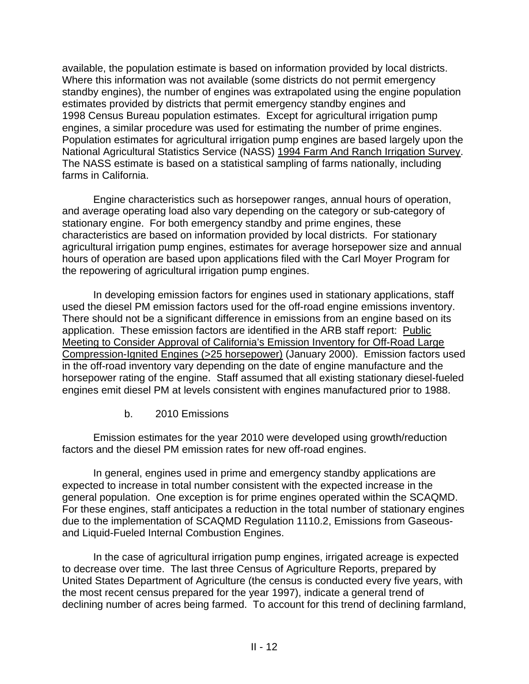available, the population estimate is based on information provided by local districts. Where this information was not available (some districts do not permit emergency standby engines), the number of engines was extrapolated using the engine population estimates provided by districts that permit emergency standby engines and 1998 Census Bureau population estimates. Except for agricultural irrigation pump engines, a similar procedure was used for estimating the number of prime engines. Population estimates for agricultural irrigation pump engines are based largely upon the National Agricultural Statistics Service (NASS) 1994 Farm And Ranch Irrigation Survey. The NASS estimate is based on a statistical sampling of farms nationally, including farms in California.

Engine characteristics such as horsepower ranges, annual hours of operation, and average operating load also vary depending on the category or sub-category of stationary engine. For both emergency standby and prime engines, these characteristics are based on information provided by local districts. For stationary agricultural irrigation pump engines, estimates for average horsepower size and annual hours of operation are based upon applications filed with the Carl Moyer Program for the repowering of agricultural irrigation pump engines.

In developing emission factors for engines used in stationary applications, staff used the diesel PM emission factors used for the off-road engine emissions inventory. There should not be a significant difference in emissions from an engine based on its application. These emission factors are identified in the ARB staff report: Public Meeting to Consider Approval of California's Emission Inventory for Off-Road Large Compression-Ignited Engines (>25 horsepower) (January 2000). Emission factors used in the off-road inventory vary depending on the date of engine manufacture and the horsepower rating of the engine. Staff assumed that all existing stationary diesel-fueled engines emit diesel PM at levels consistent with engines manufactured prior to 1988.

b. 2010 Emissions

Emission estimates for the year 2010 were developed using growth/reduction factors and the diesel PM emission rates for new off-road engines.

In general, engines used in prime and emergency standby applications are expected to increase in total number consistent with the expected increase in the general population. One exception is for prime engines operated within the SCAQMD. For these engines, staff anticipates a reduction in the total number of stationary engines due to the implementation of SCAQMD Regulation 1110.2, Emissions from Gaseousand Liquid-Fueled Internal Combustion Engines.

In the case of agricultural irrigation pump engines, irrigated acreage is expected to decrease over time. The last three Census of Agriculture Reports, prepared by United States Department of Agriculture (the census is conducted every five years, with the most recent census prepared for the year 1997), indicate a general trend of declining number of acres being farmed. To account for this trend of declining farmland,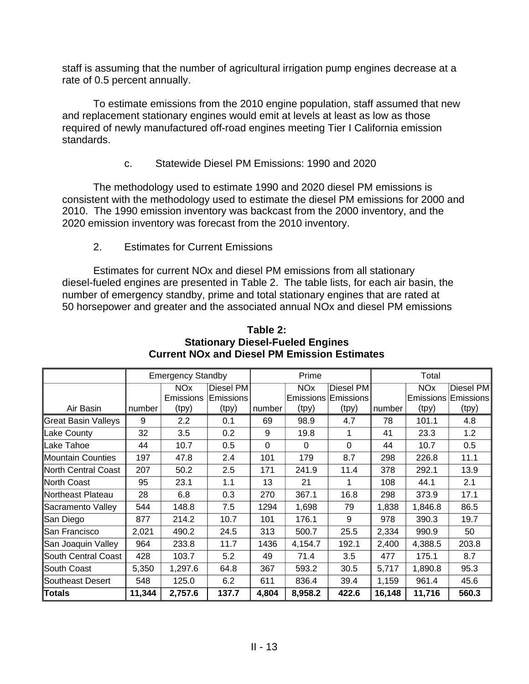staff is assuming that the number of agricultural irrigation pump engines decrease at a rate of 0.5 percent annually.

To estimate emissions from the 2010 engine population, staff assumed that new and replacement stationary engines would emit at levels at least as low as those required of newly manufactured off-road engines meeting Tier I California emission standards.

c. Statewide Diesel PM Emissions: 1990 and 2020

The methodology used to estimate 1990 and 2020 diesel PM emissions is consistent with the methodology used to estimate the diesel PM emissions for 2000 and 2010. The 1990 emission inventory was backcast from the 2000 inventory, and the 2020 emission inventory was forecast from the 2010 inventory.

2. Estimates for Current Emissions

Estimates for current NOx and diesel PM emissions from all stationary diesel-fueled engines are presented in Table 2. The table lists, for each air basin, the number of emergency standby, prime and total stationary engines that are rated at 50 horsepower and greater and the associated annual NOx and diesel PM emissions

|                     | <b>Emergency Standby</b> |                  |           | Prime    |                       |           | Total  |                       |                  |
|---------------------|--------------------------|------------------|-----------|----------|-----------------------|-----------|--------|-----------------------|------------------|
|                     |                          | <b>NOx</b>       | Diesel PM |          | <b>NO<sub>x</sub></b> | Diesel PM |        | <b>NO<sub>x</sub></b> | Diesel PM        |
|                     |                          | Emissions        | Emissions |          | Emissions             | Emissions |        | Emissions             | <b>Emissions</b> |
| Air Basin           | number                   | (tpy)            | (tpy)     | number   | (tpy)                 | (tpy)     | number | (tpy)                 | (tpy)            |
| Great Basin Valleys | 9                        | $2.2\phantom{0}$ | 0.1       | 69       | 98.9                  | 4.7       | 78     | 101.1                 | 4.8              |
| Lake County         | 32                       | 3.5              | 0.2       | 9        | 19.8                  |           | 41     | 23.3                  | 1.2              |
| ∥Lake Tahoe         | 44                       | 10.7             | 0.5       | $\Omega$ | $\Omega$              | $\Omega$  | 44     | 10.7                  | 0.5              |
| Mountain Counties   | 197                      | 47.8             | 2.4       | 101      | 179                   | 8.7       | 298    | 226.8                 | 11.1             |
| North Central Coast | 207                      | 50.2             | 2.5       | 171      | 241.9                 | 11.4      | 378    | 292.1                 | 13.9             |
| North Coast         | 95                       | 23.1             | 1.1       | 13       | 21                    |           | 108    | 44.1                  | 2.1              |
| Northeast Plateau   | 28                       | 6.8              | 0.3       | 270      | 367.1                 | 16.8      | 298    | 373.9                 | 17.1             |
| Sacramento Valley   | 544                      | 148.8            | 7.5       | 1294     | 1,698                 | 79        | 1,838  | 1,846.8               | 86.5             |
| San Diego           | 877                      | 214.2            | 10.7      | 101      | 176.1                 | 9         | 978    | 390.3                 | 19.7             |
| San Francisco       | 2,021                    | 490.2            | 24.5      | 313      | 500.7                 | 25.5      | 2,334  | 990.9                 | 50               |
| San Joaquin Valley  | 964                      | 233.8            | 11.7      | 1436     | 4,154.7               | 192.1     | 2,400  | 4,388.5               | 203.8            |
| South Central Coast | 428                      | 103.7            | 5.2       | 49       | 71.4                  | 3.5       | 477    | 175.1                 | 8.7              |
| South Coast         | 5,350                    | 1,297.6          | 64.8      | 367      | 593.2                 | 30.5      | 5,717  | 1,890.8               | 95.3             |
| Southeast Desert    | 548                      | 125.0            | 6.2       | 611      | 836.4                 | 39.4      | 1,159  | 961.4                 | 45.6             |
| ∣Totals             | 11,344                   | 2,757.6          | 137.7     | 4,804    | 8,958.2               | 422.6     | 16,148 | 11,716                | 560.3            |

**Table 2: Stationary Diesel-Fueled Engines Current NOx and Diesel PM Emission Estimates**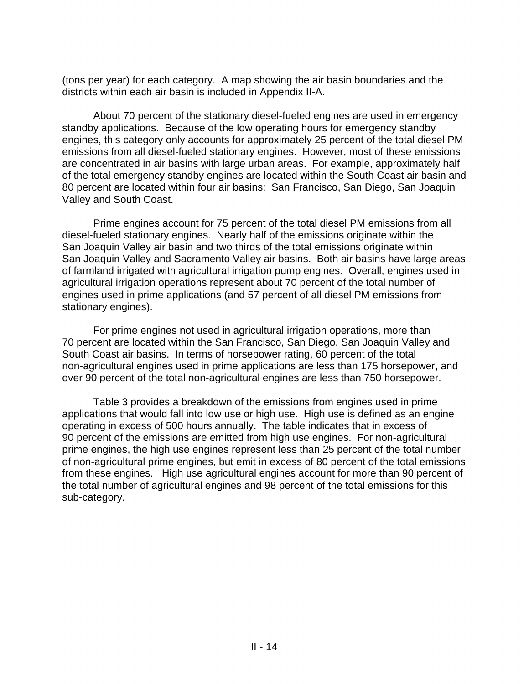(tons per year) for each category. A map showing the air basin boundaries and the districts within each air basin is included in Appendix II-A.

About 70 percent of the stationary diesel-fueled engines are used in emergency standby applications. Because of the low operating hours for emergency standby engines, this category only accounts for approximately 25 percent of the total diesel PM emissions from all diesel-fueled stationary engines. However, most of these emissions are concentrated in air basins with large urban areas. For example, approximately half of the total emergency standby engines are located within the South Coast air basin and 80 percent are located within four air basins: San Francisco, San Diego, San Joaquin Valley and South Coast.

Prime engines account for 75 percent of the total diesel PM emissions from all diesel-fueled stationary engines. Nearly half of the emissions originate within the San Joaquin Valley air basin and two thirds of the total emissions originate within San Joaquin Valley and Sacramento Valley air basins. Both air basins have large areas of farmland irrigated with agricultural irrigation pump engines. Overall, engines used in agricultural irrigation operations represent about 70 percent of the total number of engines used in prime applications (and 57 percent of all diesel PM emissions from stationary engines).

For prime engines not used in agricultural irrigation operations, more than 70 percent are located within the San Francisco, San Diego, San Joaquin Valley and South Coast air basins. In terms of horsepower rating, 60 percent of the total non-agricultural engines used in prime applications are less than 175 horsepower, and over 90 percent of the total non-agricultural engines are less than 750 horsepower.

Table 3 provides a breakdown of the emissions from engines used in prime applications that would fall into low use or high use. High use is defined as an engine operating in excess of 500 hours annually. The table indicates that in excess of 90 percent of the emissions are emitted from high use engines. For non-agricultural prime engines, the high use engines represent less than 25 percent of the total number of non-agricultural prime engines, but emit in excess of 80 percent of the total emissions from these engines. High use agricultural engines account for more than 90 percent of the total number of agricultural engines and 98 percent of the total emissions for this sub-category.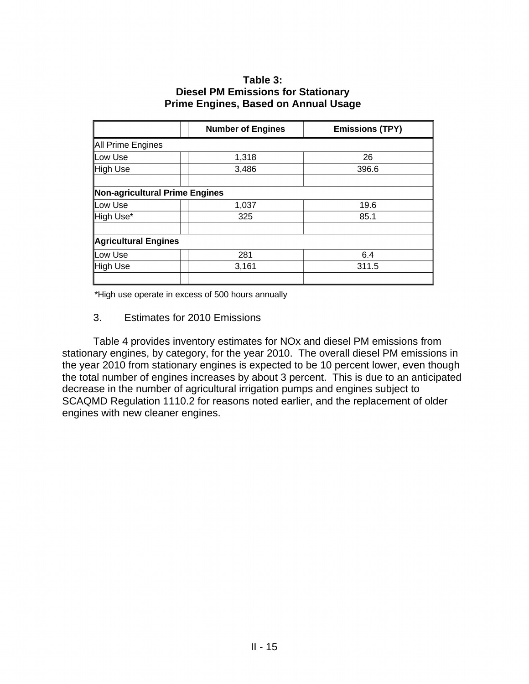#### **Table 3: Diesel PM Emissions for Stationary Prime Engines, Based on Annual Usage**

|                                | <b>Number of Engines</b> | <b>Emissions (TPY)</b> |
|--------------------------------|--------------------------|------------------------|
| All Prime Engines              |                          |                        |
| Low Use                        | 1,318                    | 26                     |
| High Use                       | 3,486                    | 396.6                  |
| Non-agricultural Prime Engines |                          |                        |
| Low Use                        | 1,037                    | 19.6                   |
| High Use*                      | 325                      | 85.1                   |
| Agricultural Engines           |                          |                        |
| Low Use                        | 281                      | 6.4                    |
| High Use                       | 3,161                    | 311.5                  |
|                                |                          |                        |

\*High use operate in excess of 500 hours annually

#### 3. Estimates for 2010 Emissions

Table 4 provides inventory estimates for NOx and diesel PM emissions from stationary engines, by category, for the year 2010. The overall diesel PM emissions in the year 2010 from stationary engines is expected to be 10 percent lower, even though the total number of engines increases by about 3 percent. This is due to an anticipated decrease in the number of agricultural irrigation pumps and engines subject to SCAQMD Regulation 1110.2 for reasons noted earlier, and the replacement of older engines with new cleaner engines.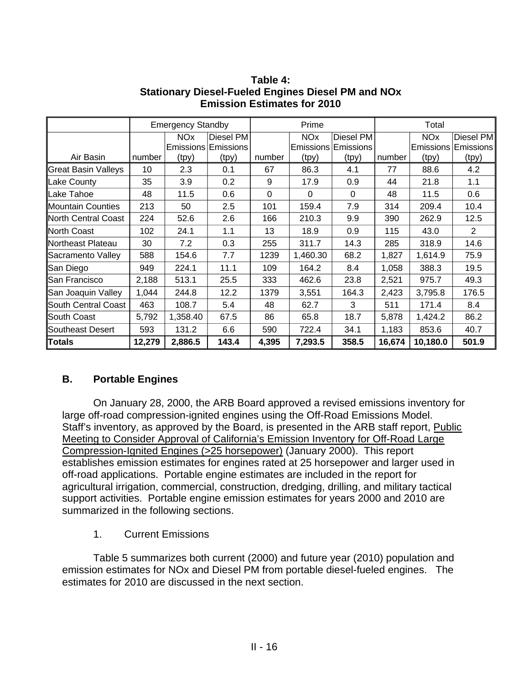|                      | <b>Emergency Standby</b> |                       | Prime     |        |                       | Total     |        |                       |                  |
|----------------------|--------------------------|-----------------------|-----------|--------|-----------------------|-----------|--------|-----------------------|------------------|
|                      |                          | <b>NO<sub>x</sub></b> | Diesel PM |        | <b>NO<sub>x</sub></b> | Diesel PM |        | <b>NO<sub>x</sub></b> | Diesel PM        |
|                      |                          | <b>Emissions</b>      | Emissions |        | Emissions             | Emissions |        | Emissions             | <b>Emissions</b> |
| Air Basin            | number                   | (tpy)                 | (tpy)     | number | (tpy)                 | (tpy)     | number | (tpy)                 | (tpy)            |
| Great Basin Valleys  | 10                       | 2.3                   | 0.1       | 67     | 86.3                  | 4.1       | 77     | 88.6                  | 4.2              |
| Lake County          | 35                       | 3.9                   | 0.2       | 9      | 17.9                  | 0.9       | 44     | 21.8                  | 1.1              |
| ∥Lake Tahoe          | 48                       | 11.5                  | 0.6       | 0      | $\Omega$              | $\Omega$  | 48     | 11.5                  | 0.6              |
| Mountain Counties    | 213                      | 50                    | 2.5       | 101    | 159.4                 | 7.9       | 314    | 209.4                 | 10.4             |
| North Central Coast  | 224                      | 52.6                  | 2.6       | 166    | 210.3                 | 9.9       | 390    | 262.9                 | 12.5             |
| North Coast          | 102                      | 24.1                  | 1.1       | 13     | 18.9                  | 0.9       | 115    | 43.0                  | $\overline{2}$   |
| Northeast Plateau    | 30                       | 7.2                   | 0.3       | 255    | 311.7                 | 14.3      | 285    | 318.9                 | 14.6             |
| Sacramento Valley    | 588                      | 154.6                 | 7.7       | 1239   | 1,460.30              | 68.2      | 1,827  | 1,614.9               | 75.9             |
| San Diego            | 949                      | 224.1                 | 11.1      | 109    | 164.2                 | 8.4       | 1,058  | 388.3                 | 19.5             |
| <b>San Francisco</b> | 2,188                    | 513.1                 | 25.5      | 333    | 462.6                 | 23.8      | 2,521  | 975.7                 | 49.3             |
| San Joaquin Valley   | 1,044                    | 244.8                 | 12.2      | 1379   | 3,551                 | 164.3     | 2,423  | 3,795.8               | 176.5            |
| South Central Coast  | 463                      | 108.7                 | 5.4       | 48     | 62.7                  | 3         | 511    | 171.4                 | 8.4              |
| South Coast          | 5,792                    | 1,358.40              | 67.5      | 86     | 65.8                  | 18.7      | 5,878  | 1,424.2               | 86.2             |
| Southeast Desert     | 593                      | 131.2                 | 6.6       | 590    | 722.4                 | 34.1      | 1,183  | 853.6                 | 40.7             |
| ∥Totals              | 12,279                   | 2,886.5               | 143.4     | 4,395  | 7,293.5               | 358.5     | 16,674 | 10,180.0              | 501.9            |

**Table 4: Stationary Diesel-Fueled Engines Diesel PM and NOx Emission Estimates for 2010** 

### **B. Portable Engines**

On January 28, 2000, the ARB Board approved a revised emissions inventory for large off-road compression-ignited engines using the Off-Road Emissions Model. Staff's inventory, as approved by the Board, is presented in the ARB staff report, Public Meeting to Consider Approval of California's Emission Inventory for Off-Road Large Compression-Ignited Engines (>25 horsepower) (January 2000). This report establishes emission estimates for engines rated at 25 horsepower and larger used in off-road applications. Portable engine estimates are included in the report for agricultural irrigation, commercial, construction, dredging, drilling, and military tactical support activities. Portable engine emission estimates for years 2000 and 2010 are summarized in the following sections.

1. Current Emissions

Table 5 summarizes both current (2000) and future year (2010) population and emission estimates for NOx and Diesel PM from portable diesel-fueled engines. The estimates for 2010 are discussed in the next section.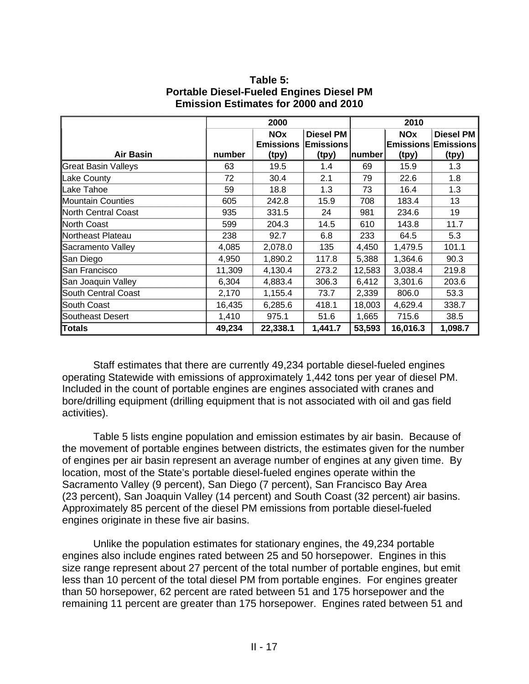| Table 5:                                        |
|-------------------------------------------------|
| <b>Portable Diesel-Fueled Engines Diesel PM</b> |
| <b>Emission Estimates for 2000 and 2010</b>     |

|                            | 2000   |                  |                  | 2010   |            |                            |  |
|----------------------------|--------|------------------|------------------|--------|------------|----------------------------|--|
|                            |        | <b>NOx</b>       | <b>Diesel PM</b> |        | <b>NOx</b> | <b>Diesel PM</b>           |  |
|                            |        | <b>Emissions</b> | <b>Emissions</b> |        |            | <b>Emissions Emissions</b> |  |
| <b>Air Basin</b>           | number | (tpy)            | (tpy)            | number | (tpy)      | (tpy)                      |  |
| <b>Great Basin Valleys</b> | 63     | 19.5             | 1.4              | 69     | 15.9       | 1.3                        |  |
| Lake County                | 72     | 30.4             | 2.1              | 79     | 22.6       | 1.8                        |  |
| Lake Tahoe                 | 59     | 18.8             | 1.3              | 73     | 16.4       | 1.3                        |  |
| Mountain Counties          | 605    | 242.8            | 15.9             | 708    | 183.4      | 13                         |  |
| North Central Coast        | 935    | 331.5            | 24               | 981    | 234.6      | 19                         |  |
| ∥North Coast               | 599    | 204.3            | 14.5             | 610    | 143.8      | 11.7                       |  |
| Northeast Plateau          | 238    | 92.7             | 6.8              | 233    | 64.5       | 5.3                        |  |
| Sacramento Valley          | 4,085  | 2,078.0          | 135              | 4,450  | 1,479.5    | 101.1                      |  |
| San Diego                  | 4,950  | 1,890.2          | 117.8            | 5,388  | 1,364.6    | 90.3                       |  |
| San Francisco              | 11,309 | 4,130.4          | 273.2            | 12,583 | 3,038.4    | 219.8                      |  |
| San Joaquin Valley         | 6,304  | 4,883.4          | 306.3            | 6,412  | 3,301.6    | 203.6                      |  |
| <b>South Central Coast</b> | 2,170  | 1,155.4          | 73.7             | 2,339  | 806.0      | 53.3                       |  |
| South Coast                | 16,435 | 6,285.6          | 418.1            | 18,003 | 4,629.4    | 338.7                      |  |
| <b>Southeast Desert</b>    | 1,410  | 975.1            | 51.6             | 1,665  | 715.6      | 38.5                       |  |
| Totals                     | 49,234 | 22,338.1         | 1,441.7          | 53,593 | 16,016.3   | 1,098.7                    |  |

Staff estimates that there are currently 49,234 portable diesel-fueled engines operating Statewide with emissions of approximately 1,442 tons per year of diesel PM. Included in the count of portable engines are engines associated with cranes and bore/drilling equipment (drilling equipment that is not associated with oil and gas field activities).

Table 5 lists engine population and emission estimates by air basin. Because of the movement of portable engines between districts, the estimates given for the number of engines per air basin represent an average number of engines at any given time. By location, most of the State's portable diesel-fueled engines operate within the Sacramento Valley (9 percent), San Diego (7 percent), San Francisco Bay Area (23 percent), San Joaquin Valley (14 percent) and South Coast (32 percent) air basins. Approximately 85 percent of the diesel PM emissions from portable diesel-fueled engines originate in these five air basins.

Unlike the population estimates for stationary engines, the 49,234 portable engines also include engines rated between 25 and 50 horsepower. Engines in this size range represent about 27 percent of the total number of portable engines, but emit less than 10 percent of the total diesel PM from portable engines. For engines greater than 50 horsepower, 62 percent are rated between 51 and 175 horsepower and the remaining 11 percent are greater than 175 horsepower. Engines rated between 51 and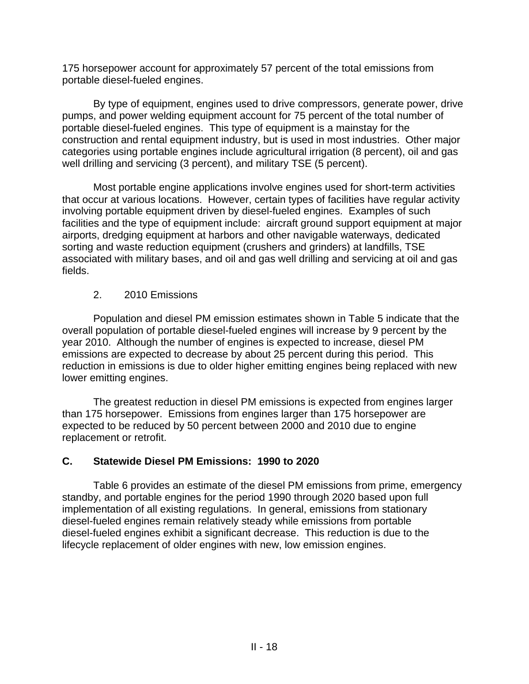175 horsepower account for approximately 57 percent of the total emissions from portable diesel-fueled engines.

By type of equipment, engines used to drive compressors, generate power, drive pumps, and power welding equipment account for 75 percent of the total number of portable diesel-fueled engines. This type of equipment is a mainstay for the construction and rental equipment industry, but is used in most industries. Other major categories using portable engines include agricultural irrigation (8 percent), oil and gas well drilling and servicing (3 percent), and military TSE (5 percent).

Most portable engine applications involve engines used for short-term activities that occur at various locations. However, certain types of facilities have regular activity involving portable equipment driven by diesel-fueled engines. Examples of such facilities and the type of equipment include: aircraft ground support equipment at major airports, dredging equipment at harbors and other navigable waterways, dedicated sorting and waste reduction equipment (crushers and grinders) at landfills, TSE associated with military bases, and oil and gas well drilling and servicing at oil and gas fields.

### 2. 2010 Emissions

Population and diesel PM emission estimates shown in Table 5 indicate that the overall population of portable diesel-fueled engines will increase by 9 percent by the year 2010. Although the number of engines is expected to increase, diesel PM emissions are expected to decrease by about 25 percent during this period. This reduction in emissions is due to older higher emitting engines being replaced with new lower emitting engines.

The greatest reduction in diesel PM emissions is expected from engines larger than 175 horsepower. Emissions from engines larger than 175 horsepower are expected to be reduced by 50 percent between 2000 and 2010 due to engine replacement or retrofit.

### **C. Statewide Diesel PM Emissions: 1990 to 2020**

Table 6 provides an estimate of the diesel PM emissions from prime, emergency standby, and portable engines for the period 1990 through 2020 based upon full implementation of all existing regulations. In general, emissions from stationary diesel-fueled engines remain relatively steady while emissions from portable diesel-fueled engines exhibit a significant decrease. This reduction is due to the lifecycle replacement of older engines with new, low emission engines.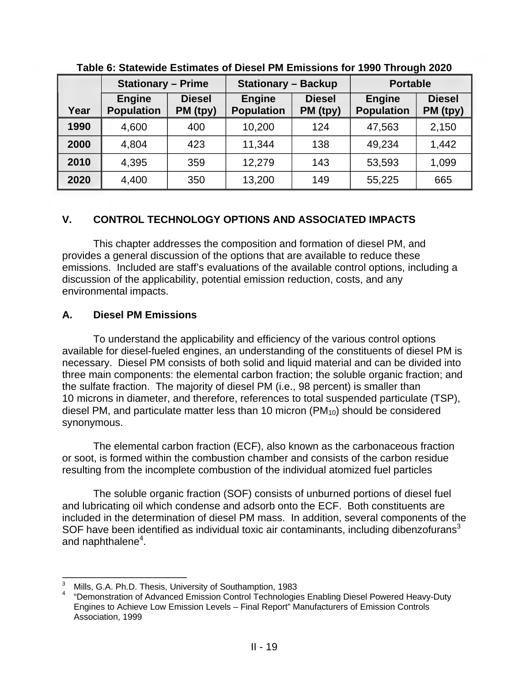|      | <b>Stationary - Prime</b>          |                           | <b>Stationary - Backup</b>         |                           | <b>Portable</b>                    |                           |  |
|------|------------------------------------|---------------------------|------------------------------------|---------------------------|------------------------------------|---------------------------|--|
| Year | <b>Engine</b><br><b>Population</b> | <b>Diesel</b><br>PM (tpy) | <b>Engine</b><br><b>Population</b> | <b>Diesel</b><br>PM (tpy) | <b>Engine</b><br><b>Population</b> | <b>Diesel</b><br>PM (tpy) |  |
| 1990 | 4,600                              | 400                       | 10,200                             | 124                       | 47,563                             | 2,150                     |  |
| 2000 | 4,804                              | 423                       | 11,344                             | 138                       | 49,234                             | 1,442                     |  |
| 2010 | 4,395                              | 359                       | 12,279                             | 143                       | 53,593                             | 1,099                     |  |
| 2020 | 4,400                              | 350                       | 13,200                             | 149                       | 55,225                             | 665                       |  |

**Table 6: Statewide Estimates of Diesel PM Emissions for 1990 Through 2020** 

### **V. CONTROL TECHNOLOGY OPTIONS AND ASSOCIATED IMPACTS**

This chapter addresses the composition and formation of diesel PM, and provides a general discussion of the options that are available to reduce these emissions. Included are staff's evaluations of the available control options, including a discussion of the applicability, potential emission reduction, costs, and any environmental impacts.

#### **A. Diesel PM Emissions**

To understand the applicability and efficiency of the various control options available for diesel-fueled engines, an understanding of the constituents of diesel PM is necessary. Diesel PM consists of both solid and liquid material and can be divided into three main components: the elemental carbon fraction; the soluble organic fraction; and the sulfate fraction. The majority of diesel PM (i.e., 98 percent) is smaller than 10 microns in diameter, and therefore, references to total suspended particulate (TSP), diesel PM, and particulate matter less than 10 micron  $(PM_{10})$  should be considered synonymous.

The elemental carbon fraction (ECF), also known as the carbonaceous fraction or soot, is formed within the combustion chamber and consists of the carbon residue resulting from the incomplete combustion of the individual atomized fuel particles

The soluble organic fraction (SOF) consists of unburned portions of diesel fuel and lubricating oil which condense and adsorb onto the ECF. Both constituents are included in the determination of diesel PM mass. In addition, several components of the SOF have been identified as individual toxic air contaminants, including dibenzofurans<sup>3</sup> and naphthalene<sup>4</sup>.

 $\overline{\phantom{a}}$ 

Mills, G.A. Ph.D. Thesis, University of Southamption, 1983<br>"Demonstration of Advanced Emission Control Technologies Enabling Diesel Powered Heavy-Duty Engines to Achieve Low Emission Levels – Final Report" Manufacturers of Emission Controls Association, 1999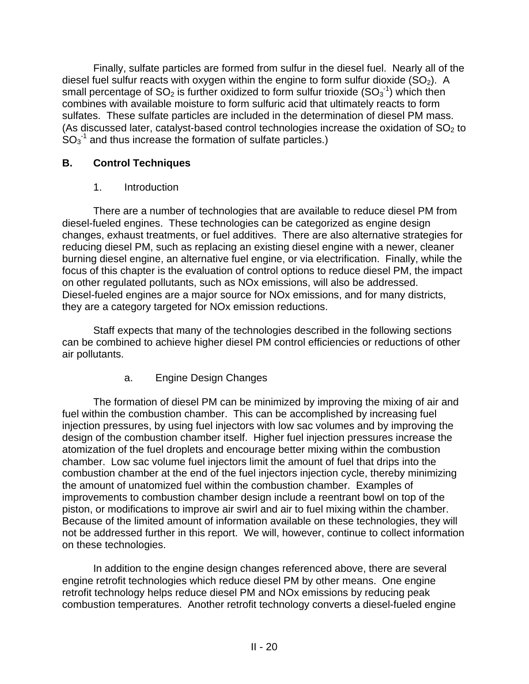Finally, sulfate particles are formed from sulfur in the diesel fuel. Nearly all of the diesel fuel sulfur reacts with oxygen within the engine to form sulfur dioxide  $(SO<sub>2</sub>)$ . A small percentage of SO<sub>2</sub> is further oxidized to form sulfur trioxide (SO<sub>3</sub><sup>-1</sup>) which then combines with available moisture to form sulfuric acid that ultimately reacts to form sulfates. These sulfate particles are included in the determination of diesel PM mass. (As discussed later, catalyst-based control technologies increase the oxidation of  $SO<sub>2</sub>$  to  $SO_3$ <sup>-1</sup> and thus increase the formation of sulfate particles.)

### **B. Control Techniques**

### 1. Introduction

There are a number of technologies that are available to reduce diesel PM from diesel-fueled engines. These technologies can be categorized as engine design changes, exhaust treatments, or fuel additives. There are also alternative strategies for reducing diesel PM, such as replacing an existing diesel engine with a newer, cleaner burning diesel engine, an alternative fuel engine, or via electrification. Finally, while the focus of this chapter is the evaluation of control options to reduce diesel PM, the impact on other regulated pollutants, such as NOx emissions, will also be addressed. Diesel-fueled engines are a major source for NOx emissions, and for many districts, they are a category targeted for NOx emission reductions.

Staff expects that many of the technologies described in the following sections can be combined to achieve higher diesel PM control efficiencies or reductions of other air pollutants.

## a. Engine Design Changes

The formation of diesel PM can be minimized by improving the mixing of air and fuel within the combustion chamber. This can be accomplished by increasing fuel injection pressures, by using fuel injectors with low sac volumes and by improving the design of the combustion chamber itself. Higher fuel injection pressures increase the atomization of the fuel droplets and encourage better mixing within the combustion chamber. Low sac volume fuel injectors limit the amount of fuel that drips into the combustion chamber at the end of the fuel injectors injection cycle, thereby minimizing the amount of unatomized fuel within the combustion chamber. Examples of improvements to combustion chamber design include a reentrant bowl on top of the piston, or modifications to improve air swirl and air to fuel mixing within the chamber. Because of the limited amount of information available on these technologies, they will not be addressed further in this report. We will, however, continue to collect information on these technologies.

In addition to the engine design changes referenced above, there are several engine retrofit technologies which reduce diesel PM by other means. One engine retrofit technology helps reduce diesel PM and NOx emissions by reducing peak combustion temperatures. Another retrofit technology converts a diesel-fueled engine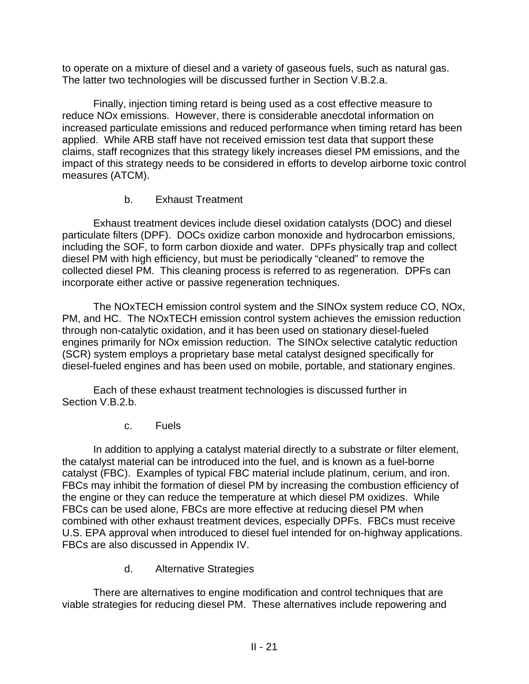to operate on a mixture of diesel and a variety of gaseous fuels, such as natural gas. The latter two technologies will be discussed further in Section V.B.2.a.

Finally, injection timing retard is being used as a cost effective measure to reduce NOx emissions. However, there is considerable anecdotal information on increased particulate emissions and reduced performance when timing retard has been applied. While ARB staff have not received emission test data that support these claims, staff recognizes that this strategy likely increases diesel PM emissions, and the impact of this strategy needs to be considered in efforts to develop airborne toxic control measures (ATCM).

### b. Exhaust Treatment

Exhaust treatment devices include diesel oxidation catalysts (DOC) and diesel particulate filters (DPF). DOCs oxidize carbon monoxide and hydrocarbon emissions, including the SOF, to form carbon dioxide and water. DPFs physically trap and collect diesel PM with high efficiency, but must be periodically "cleaned" to remove the collected diesel PM. This cleaning process is referred to as regeneration. DPFs can incorporate either active or passive regeneration techniques.

The NOxTECH emission control system and the SINOx system reduce CO, NOx, PM, and HC. The NOxTECH emission control system achieves the emission reduction through non-catalytic oxidation, and it has been used on stationary diesel-fueled engines primarily for NOx emission reduction. The SINOx selective catalytic reduction (SCR) system employs a proprietary base metal catalyst designed specifically for diesel-fueled engines and has been used on mobile, portable, and stationary engines.

Each of these exhaust treatment technologies is discussed further in Section V.B.2.b.

c. Fuels

In addition to applying a catalyst material directly to a substrate or filter element, the catalyst material can be introduced into the fuel, and is known as a fuel-borne catalyst (FBC). Examples of typical FBC material include platinum, cerium, and iron. FBCs may inhibit the formation of diesel PM by increasing the combustion efficiency of the engine or they can reduce the temperature at which diesel PM oxidizes. While FBCs can be used alone, FBCs are more effective at reducing diesel PM when combined with other exhaust treatment devices, especially DPFs. FBCs must receive U.S. EPA approval when introduced to diesel fuel intended for on-highway applications. FBCs are also discussed in Appendix IV.

d. Alternative Strategies

There are alternatives to engine modification and control techniques that are viable strategies for reducing diesel PM. These alternatives include repowering and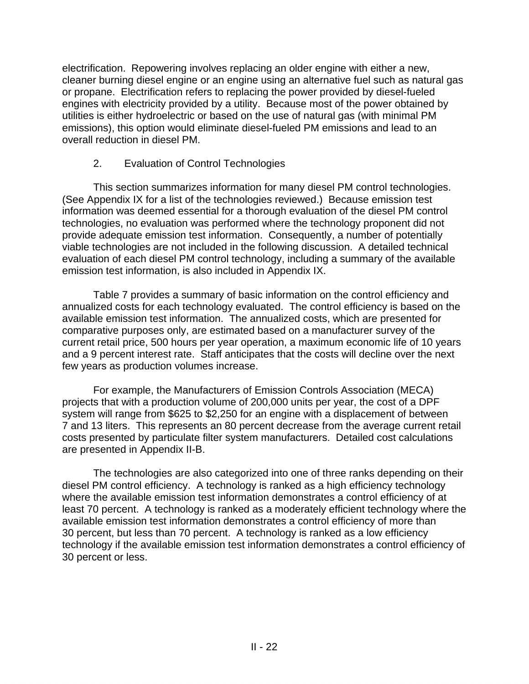electrification. Repowering involves replacing an older engine with either a new, cleaner burning diesel engine or an engine using an alternative fuel such as natural gas or propane. Electrification refers to replacing the power provided by diesel-fueled engines with electricity provided by a utility. Because most of the power obtained by utilities is either hydroelectric or based on the use of natural gas (with minimal PM emissions), this option would eliminate diesel-fueled PM emissions and lead to an overall reduction in diesel PM.

### 2. Evaluation of Control Technologies

This section summarizes information for many diesel PM control technologies. (See Appendix IX for a list of the technologies reviewed.) Because emission test information was deemed essential for a thorough evaluation of the diesel PM control technologies, no evaluation was performed where the technology proponent did not provide adequate emission test information. Consequently, a number of potentially viable technologies are not included in the following discussion. A detailed technical evaluation of each diesel PM control technology, including a summary of the available emission test information, is also included in Appendix IX.

Table 7 provides a summary of basic information on the control efficiency and annualized costs for each technology evaluated. The control efficiency is based on the available emission test information. The annualized costs, which are presented for comparative purposes only, are estimated based on a manufacturer survey of the current retail price, 500 hours per year operation, a maximum economic life of 10 years and a 9 percent interest rate. Staff anticipates that the costs will decline over the next few years as production volumes increase.

For example, the Manufacturers of Emission Controls Association (MECA) projects that with a production volume of 200,000 units per year, the cost of a DPF system will range from \$625 to \$2,250 for an engine with a displacement of between 7 and 13 liters. This represents an 80 percent decrease from the average current retail costs presented by particulate filter system manufacturers. Detailed cost calculations are presented in Appendix II-B.

The technologies are also categorized into one of three ranks depending on their diesel PM control efficiency. A technology is ranked as a high efficiency technology where the available emission test information demonstrates a control efficiency of at least 70 percent. A technology is ranked as a moderately efficient technology where the available emission test information demonstrates a control efficiency of more than 30 percent, but less than 70 percent. A technology is ranked as a low efficiency technology if the available emission test information demonstrates a control efficiency of 30 percent or less.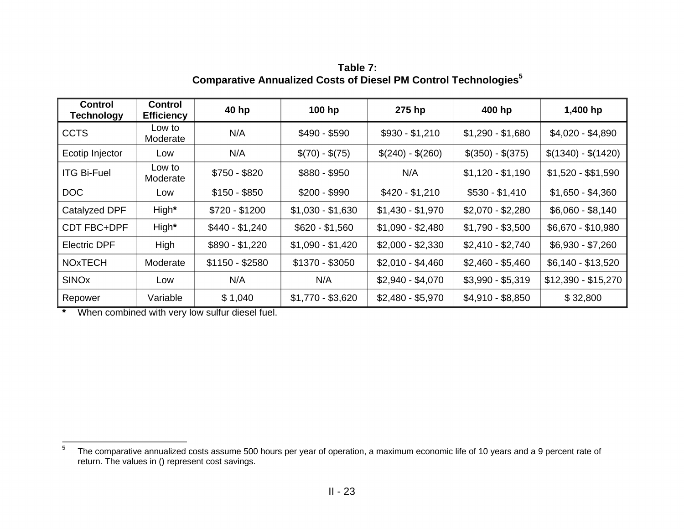| <b>Control</b><br><b>Technology</b> | <b>Control</b><br><b>Efficiency</b> | 40 hp           | 100 hp            | 275 hp            | 400 hp            | 1,400 hp            |
|-------------------------------------|-------------------------------------|-----------------|-------------------|-------------------|-------------------|---------------------|
| <b>CCTS</b>                         | Low to<br>Moderate                  | N/A             | $$490 - $590$     | $$930 - $1,210$   | $$1,290 - $1,680$ | \$4,020 - \$4,890   |
| Ecotip Injector                     | Low                                 | N/A             | $$(70) - $(75)$   | $$(240) - $(260)$ | $$(350) - $(375)$ | $$(1340) - $(1420)$ |
| <b>ITG Bi-Fuel</b>                  | Low to<br>Moderate                  | $$750 - $820$   | $$880 - $950$     | N/A               | $$1,120 - $1,190$ | $$1,520 - $1,590$   |
| <b>DOC</b>                          | Low                                 | $$150 - $850$   | $$200 - $990$     | $$420 - $1,210$   | $$530 - $1,410$   | $$1,650 - $4,360$   |
| Catalyzed DPF                       | High*                               | $$720 - $1200$  | $$1,030 - $1,630$ | $$1,430 - $1,970$ | $$2,070 - $2,280$ | $$6,060 - $8,140$   |
| <b>CDT FBC+DPF</b>                  | High*                               | $$440 - $1,240$ | $$620 - $1,560$   | $$1,090 - $2,480$ | $$1,790 - $3,500$ | \$6,670 - \$10,980  |
| <b>Electric DPF</b>                 | High                                | $$890 - $1,220$ | $$1,090 - $1,420$ | $$2,000 - $2,330$ | $$2,410 - $2,740$ | $$6,930 - $7,260$   |
| <b>NOXTECH</b>                      | Moderate                            | $$1150 - $2580$ | \$1370 - \$3050   | $$2,010 - $4,460$ | $$2,460 - $5,460$ | $$6,140 - $13,520$  |
| <b>SINOx</b>                        | Low                                 | N/A             | N/A               | $$2,940 - $4,070$ | $$3,990 - $5,319$ | $$12,390 - $15,270$ |
| Repower                             | Variable                            | \$1,040         | $$1,770 - $3,620$ | $$2,480 - $5,970$ | $$4,910 - $8,850$ | \$32,800            |

**Table 7: Comparative Annualized Costs of Diesel PM Control Technologies<sup>5</sup>**

**\*** When combined with very low sulfur diesel fuel.

 $\frac{1}{5}$ The comparative annualized costs assume 500 hours per year of operation, a maximum economic life of 10 years and a 9 percent rate of return. The values in () represent cost savings.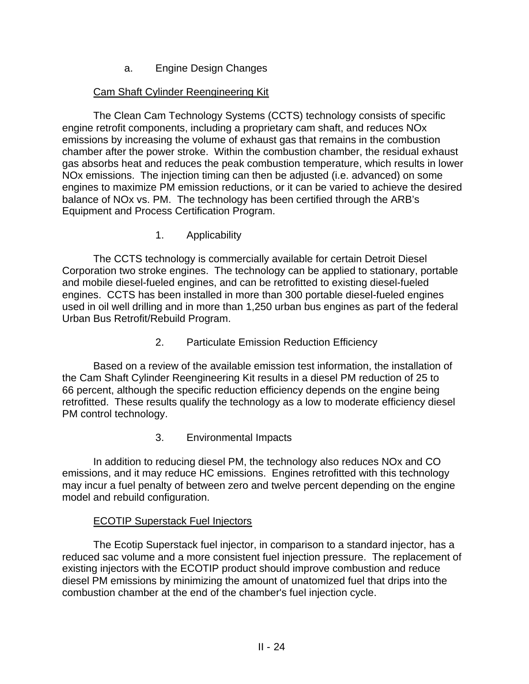a. Engine Design Changes

### Cam Shaft Cylinder Reengineering Kit

The Clean Cam Technology Systems (CCTS) technology consists of specific engine retrofit components, including a proprietary cam shaft, and reduces NOx emissions by increasing the volume of exhaust gas that remains in the combustion chamber after the power stroke. Within the combustion chamber, the residual exhaust gas absorbs heat and reduces the peak combustion temperature, which results in lower NOx emissions. The injection timing can then be adjusted (i.e. advanced) on some engines to maximize PM emission reductions, or it can be varied to achieve the desired balance of NOx vs. PM. The technology has been certified through the ARB's Equipment and Process Certification Program.

1. Applicability

The CCTS technology is commercially available for certain Detroit Diesel Corporation two stroke engines. The technology can be applied to stationary, portable and mobile diesel-fueled engines, and can be retrofitted to existing diesel-fueled engines. CCTS has been installed in more than 300 portable diesel-fueled engines used in oil well drilling and in more than 1,250 urban bus engines as part of the federal Urban Bus Retrofit/Rebuild Program.

2. Particulate Emission Reduction Efficiency

Based on a review of the available emission test information, the installation of the Cam Shaft Cylinder Reengineering Kit results in a diesel PM reduction of 25 to 66 percent, although the specific reduction efficiency depends on the engine being retrofitted. These results qualify the technology as a low to moderate efficiency diesel PM control technology.

3. Environmental Impacts

In addition to reducing diesel PM, the technology also reduces NOx and CO emissions, and it may reduce HC emissions. Engines retrofitted with this technology may incur a fuel penalty of between zero and twelve percent depending on the engine model and rebuild configuration.

### ECOTIP Superstack Fuel Injectors

The Ecotip Superstack fuel injector, in comparison to a standard injector, has a reduced sac volume and a more consistent fuel injection pressure. The replacement of existing injectors with the ECOTIP product should improve combustion and reduce diesel PM emissions by minimizing the amount of unatomized fuel that drips into the combustion chamber at the end of the chamber's fuel injection cycle.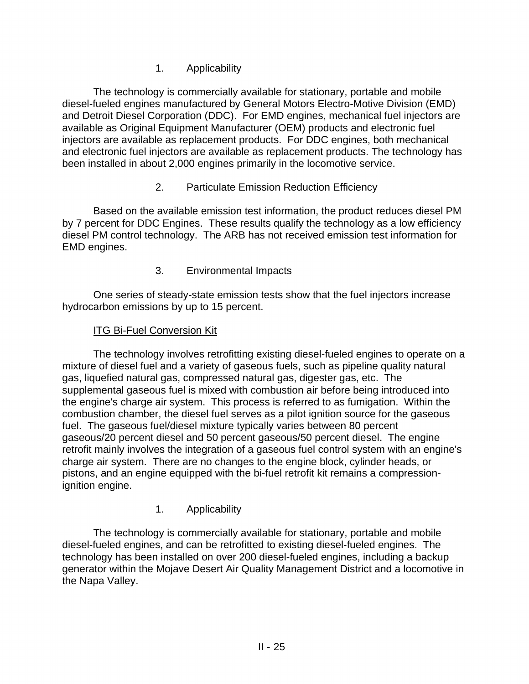1. Applicability

The technology is commercially available for stationary, portable and mobile diesel-fueled engines manufactured by General Motors Electro-Motive Division (EMD) and Detroit Diesel Corporation (DDC). For EMD engines, mechanical fuel injectors are available as Original Equipment Manufacturer (OEM) products and electronic fuel injectors are available as replacement products. For DDC engines, both mechanical and electronic fuel injectors are available as replacement products. The technology has been installed in about 2,000 engines primarily in the locomotive service.

2. Particulate Emission Reduction Efficiency

Based on the available emission test information, the product reduces diesel PM by 7 percent for DDC Engines. These results qualify the technology as a low efficiency diesel PM control technology. The ARB has not received emission test information for EMD engines.

3. Environmental Impacts

One series of steady-state emission tests show that the fuel injectors increase hydrocarbon emissions by up to 15 percent.

#### **ITG Bi-Fuel Conversion Kit**

The technology involves retrofitting existing diesel-fueled engines to operate on a mixture of diesel fuel and a variety of gaseous fuels, such as pipeline quality natural gas, liquefied natural gas, compressed natural gas, digester gas, etc. The supplemental gaseous fuel is mixed with combustion air before being introduced into the engine's charge air system. This process is referred to as fumigation. Within the combustion chamber, the diesel fuel serves as a pilot ignition source for the gaseous fuel. The gaseous fuel/diesel mixture typically varies between 80 percent gaseous/20 percent diesel and 50 percent gaseous/50 percent diesel. The engine retrofit mainly involves the integration of a gaseous fuel control system with an engine's charge air system. There are no changes to the engine block, cylinder heads, or pistons, and an engine equipped with the bi-fuel retrofit kit remains a compressionignition engine.

### 1. Applicability

The technology is commercially available for stationary, portable and mobile diesel-fueled engines, and can be retrofitted to existing diesel-fueled engines. The technology has been installed on over 200 diesel-fueled engines, including a backup generator within the Mojave Desert Air Quality Management District and a locomotive in the Napa Valley.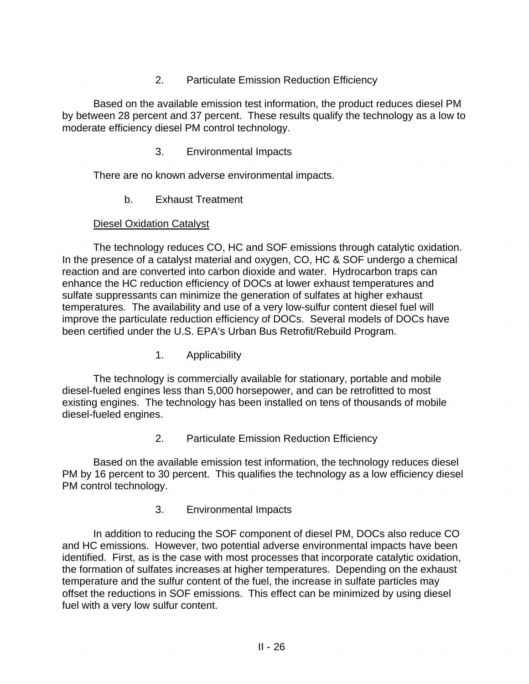2. Particulate Emission Reduction Efficiency

Based on the available emission test information, the product reduces diesel PM by between 28 percent and 37 percent. These results qualify the technology as a low to moderate efficiency diesel PM control technology.

3. Environmental Impacts

There are no known adverse environmental impacts.

b. Exhaust Treatment

#### Diesel Oxidation Catalyst

The technology reduces CO, HC and SOF emissions through catalytic oxidation. In the presence of a catalyst material and oxygen, CO, HC & SOF undergo a chemical reaction and are converted into carbon dioxide and water. Hydrocarbon traps can enhance the HC reduction efficiency of DOCs at lower exhaust temperatures and sulfate suppressants can minimize the generation of sulfates at higher exhaust temperatures. The availability and use of a very low-sulfur content diesel fuel will improve the particulate reduction efficiency of DOCs. Several models of DOCs have been certified under the U.S. EPA's Urban Bus Retrofit/Rebuild Program.

1. Applicability

The technology is commercially available for stationary, portable and mobile diesel-fueled engines less than 5,000 horsepower, and can be retrofitted to most existing engines. The technology has been installed on tens of thousands of mobile diesel-fueled engines.

2. Particulate Emission Reduction Efficiency

Based on the available emission test information, the technology reduces diesel PM by 16 percent to 30 percent. This qualifies the technology as a low efficiency diesel PM control technology.

3. Environmental Impacts

In addition to reducing the SOF component of diesel PM, DOCs also reduce CO and HC emissions. However, two potential adverse environmental impacts have been identified. First, as is the case with most processes that incorporate catalytic oxidation, the formation of sulfates increases at higher temperatures. Depending on the exhaust temperature and the sulfur content of the fuel, the increase in sulfate particles may offset the reductions in SOF emissions. This effect can be minimized by using diesel fuel with a very low sulfur content.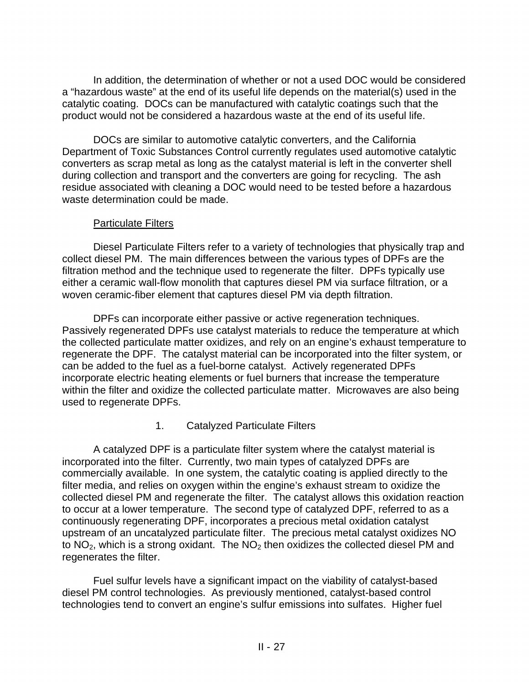In addition, the determination of whether or not a used DOC would be considered a "hazardous waste" at the end of its useful life depends on the material(s) used in the catalytic coating. DOCs can be manufactured with catalytic coatings such that the product would not be considered a hazardous waste at the end of its useful life.

DOCs are similar to automotive catalytic converters, and the California Department of Toxic Substances Control currently regulates used automotive catalytic converters as scrap metal as long as the catalyst material is left in the converter shell during collection and transport and the converters are going for recycling. The ash residue associated with cleaning a DOC would need to be tested before a hazardous waste determination could be made.

#### Particulate Filters

Diesel Particulate Filters refer to a variety of technologies that physically trap and collect diesel PM. The main differences between the various types of DPFs are the filtration method and the technique used to regenerate the filter. DPFs typically use either a ceramic wall-flow monolith that captures diesel PM via surface filtration, or a woven ceramic-fiber element that captures diesel PM via depth filtration.

DPFs can incorporate either passive or active regeneration techniques. Passively regenerated DPFs use catalyst materials to reduce the temperature at which the collected particulate matter oxidizes, and rely on an engine's exhaust temperature to regenerate the DPF. The catalyst material can be incorporated into the filter system, or can be added to the fuel as a fuel-borne catalyst. Actively regenerated DPFs incorporate electric heating elements or fuel burners that increase the temperature within the filter and oxidize the collected particulate matter. Microwaves are also being used to regenerate DPFs.

### 1. Catalyzed Particulate Filters

A catalyzed DPF is a particulate filter system where the catalyst material is incorporated into the filter. Currently, two main types of catalyzed DPFs are commercially available. In one system, the catalytic coating is applied directly to the filter media, and relies on oxygen within the engine's exhaust stream to oxidize the collected diesel PM and regenerate the filter. The catalyst allows this oxidation reaction to occur at a lower temperature. The second type of catalyzed DPF, referred to as a continuously regenerating DPF, incorporates a precious metal oxidation catalyst upstream of an uncatalyzed particulate filter. The precious metal catalyst oxidizes NO to  $NO<sub>2</sub>$ , which is a strong oxidant. The  $NO<sub>2</sub>$  then oxidizes the collected diesel PM and regenerates the filter.

Fuel sulfur levels have a significant impact on the viability of catalyst-based diesel PM control technologies. As previously mentioned, catalyst-based control technologies tend to convert an engine's sulfur emissions into sulfates. Higher fuel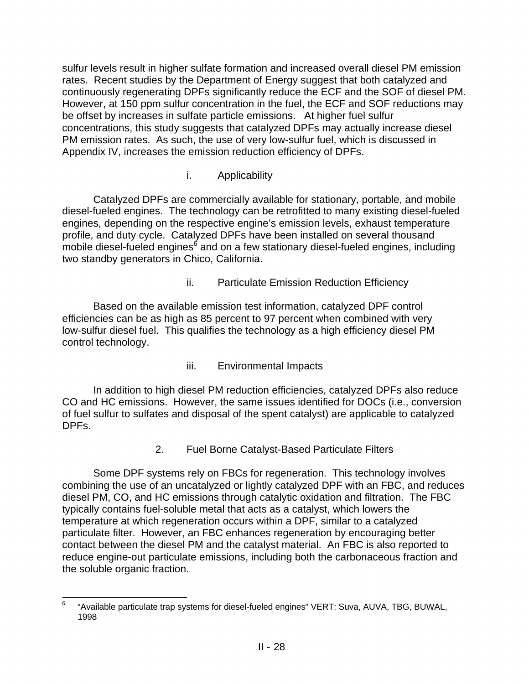sulfur levels result in higher sulfate formation and increased overall diesel PM emission rates. Recent studies by the Department of Energy suggest that both catalyzed and continuously regenerating DPFs significantly reduce the ECF and the SOF of diesel PM. However, at 150 ppm sulfur concentration in the fuel, the ECF and SOF reductions may be offset by increases in sulfate particle emissions. At higher fuel sulfur concentrations, this study suggests that catalyzed DPFs may actually increase diesel PM emission rates. As such, the use of very low-sulfur fuel, which is discussed in Appendix IV, increases the emission reduction efficiency of DPFs.

#### i. Applicability

Catalyzed DPFs are commercially available for stationary, portable, and mobile diesel-fueled engines. The technology can be retrofitted to many existing diesel-fueled engines, depending on the respective engine's emission levels, exhaust temperature profile, and duty cycle. Catalyzed DPFs have been installed on several thousand mobile diesel-fueled engines<sup>6</sup> and on a few stationary diesel-fueled engines, including two standby generators in Chico, California.

ii. Particulate Emission Reduction Efficiency

Based on the available emission test information, catalyzed DPF control efficiencies can be as high as 85 percent to 97 percent when combined with very low-sulfur diesel fuel. This qualifies the technology as a high efficiency diesel PM control technology.

iii. Environmental Impacts

In addition to high diesel PM reduction efficiencies, catalyzed DPFs also reduce CO and HC emissions. However, the same issues identified for DOCs (i.e., conversion of fuel sulfur to sulfates and disposal of the spent catalyst) are applicable to catalyzed DPFs.

2. Fuel Borne Catalyst-Based Particulate Filters

Some DPF systems rely on FBCs for regeneration. This technology involves combining the use of an uncatalyzed or lightly catalyzed DPF with an FBC, and reduces diesel PM, CO, and HC emissions through catalytic oxidation and filtration. The FBC typically contains fuel-soluble metal that acts as a catalyst, which lowers the temperature at which regeneration occurs within a DPF, similar to a catalyzed particulate filter. However, an FBC enhances regeneration by encouraging better contact between the diesel PM and the catalyst material. An FBC is also reported to reduce engine-out particulate emissions, including both the carbonaceous fraction and the soluble organic fraction.

 6 "Available particulate trap systems for diesel-fueled engines" VERT: Suva, AUVA, TBG, BUWAL, 1998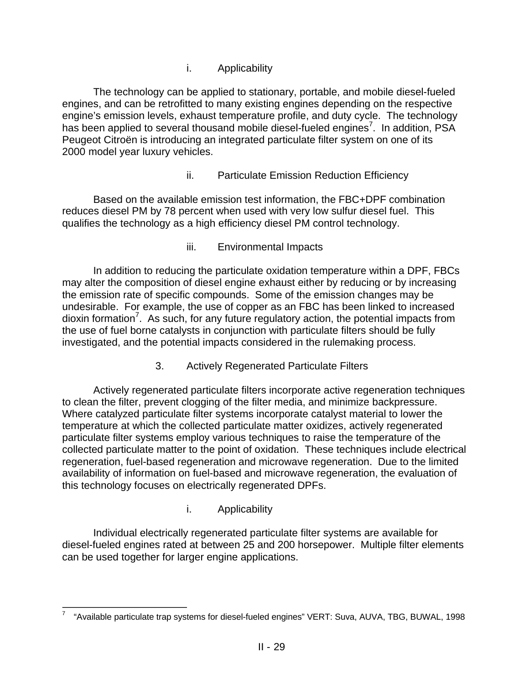i. Applicability

The technology can be applied to stationary, portable, and mobile diesel-fueled engines, and can be retrofitted to many existing engines depending on the respective engine's emission levels, exhaust temperature profile, and duty cycle. The technology has been applied to several thousand mobile diesel-fueled engines<sup>7</sup>. In addition, PSA Peugeot Citroën is introducing an integrated particulate filter system on one of its 2000 model year luxury vehicles.

ii. Particulate Emission Reduction Efficiency

Based on the available emission test information, the FBC+DPF combination reduces diesel PM by 78 percent when used with very low sulfur diesel fuel. This qualifies the technology as a high efficiency diesel PM control technology.

iii. Environmental Impacts

In addition to reducing the particulate oxidation temperature within a DPF, FBCs may alter the composition of diesel engine exhaust either by reducing or by increasing the emission rate of specific compounds. Some of the emission changes may be undesirable. For example, the use of copper as an FBC has been linked to increased dioxin formation<sup>7</sup>. As such, for any future regulatory action, the potential impacts from the use of fuel borne catalysts in conjunction with particulate filters should be fully investigated, and the potential impacts considered in the rulemaking process.

3. Actively Regenerated Particulate Filters

Actively regenerated particulate filters incorporate active regeneration techniques to clean the filter, prevent clogging of the filter media, and minimize backpressure. Where catalyzed particulate filter systems incorporate catalyst material to lower the temperature at which the collected particulate matter oxidizes, actively regenerated particulate filter systems employ various techniques to raise the temperature of the collected particulate matter to the point of oxidation. These techniques include electrical regeneration, fuel-based regeneration and microwave regeneration. Due to the limited availability of information on fuel-based and microwave regeneration, the evaluation of this technology focuses on electrically regenerated DPFs.

i. Applicability

Individual electrically regenerated particulate filter systems are available for diesel-fueled engines rated at between 25 and 200 horsepower. Multiple filter elements can be used together for larger engine applications.

 $\overline{a}$ "Available particulate trap systems for diesel-fueled engines" VERT: Suva, AUVA, TBG, BUWAL, 1998 7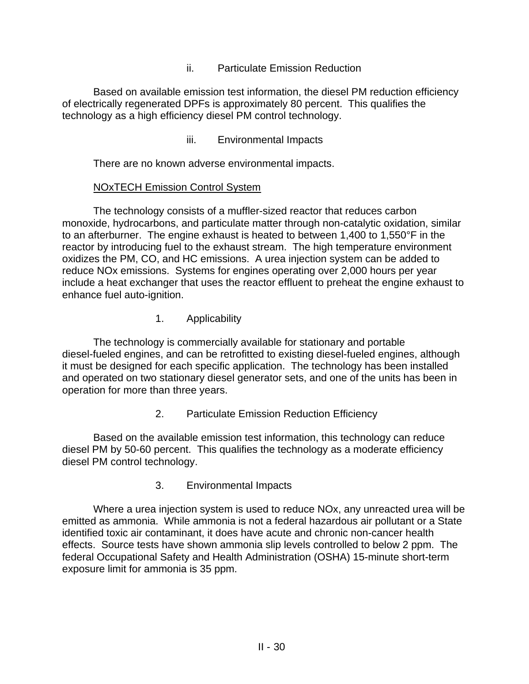ii. Particulate Emission Reduction

Based on available emission test information, the diesel PM reduction efficiency of electrically regenerated DPFs is approximately 80 percent. This qualifies the technology as a high efficiency diesel PM control technology.

iii. Environmental Impacts

There are no known adverse environmental impacts.

#### NOxTECH Emission Control System

The technology consists of a muffler-sized reactor that reduces carbon monoxide, hydrocarbons, and particulate matter through non-catalytic oxidation, similar to an afterburner. The engine exhaust is heated to between 1,400 to 1,550°F in the reactor by introducing fuel to the exhaust stream. The high temperature environment oxidizes the PM, CO, and HC emissions. A urea injection system can be added to reduce NOx emissions. Systems for engines operating over 2,000 hours per year include a heat exchanger that uses the reactor effluent to preheat the engine exhaust to enhance fuel auto-ignition.

1. Applicability

The technology is commercially available for stationary and portable diesel-fueled engines, and can be retrofitted to existing diesel-fueled engines, although it must be designed for each specific application. The technology has been installed and operated on two stationary diesel generator sets, and one of the units has been in operation for more than three years.

2. Particulate Emission Reduction Efficiency

Based on the available emission test information, this technology can reduce diesel PM by 50-60 percent. This qualifies the technology as a moderate efficiency diesel PM control technology.

3. Environmental Impacts

Where a urea injection system is used to reduce NOx, any unreacted urea will be emitted as ammonia. While ammonia is not a federal hazardous air pollutant or a State identified toxic air contaminant, it does have acute and chronic non-cancer health effects. Source tests have shown ammonia slip levels controlled to below 2 ppm. The federal Occupational Safety and Health Administration (OSHA) 15-minute short-term exposure limit for ammonia is 35 ppm.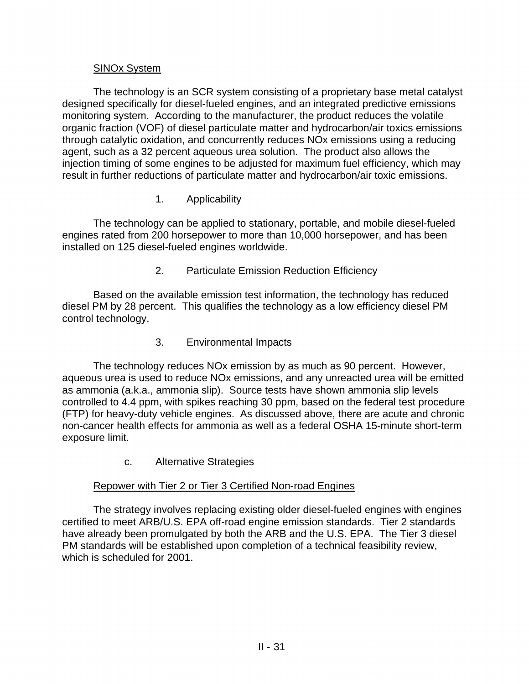#### SINOx System

The technology is an SCR system consisting of a proprietary base metal catalyst designed specifically for diesel-fueled engines, and an integrated predictive emissions monitoring system. According to the manufacturer, the product reduces the volatile organic fraction (VOF) of diesel particulate matter and hydrocarbon/air toxics emissions through catalytic oxidation, and concurrently reduces NOx emissions using a reducing agent, such as a 32 percent aqueous urea solution. The product also allows the injection timing of some engines to be adjusted for maximum fuel efficiency, which may result in further reductions of particulate matter and hydrocarbon/air toxic emissions.

1. Applicability

The technology can be applied to stationary, portable, and mobile diesel-fueled engines rated from 200 horsepower to more than 10,000 horsepower, and has been installed on 125 diesel-fueled engines worldwide.

2. Particulate Emission Reduction Efficiency

Based on the available emission test information, the technology has reduced diesel PM by 28 percent. This qualifies the technology as a low efficiency diesel PM control technology.

3. Environmental Impacts

The technology reduces NOx emission by as much as 90 percent. However, aqueous urea is used to reduce NOx emissions, and any unreacted urea will be emitted as ammonia (a.k.a., ammonia slip). Source tests have shown ammonia slip levels controlled to 4.4 ppm, with spikes reaching 30 ppm, based on the federal test procedure (FTP) for heavy-duty vehicle engines. As discussed above, there are acute and chronic non-cancer health effects for ammonia as well as a federal OSHA 15-minute short-term exposure limit.

c. Alternative Strategies

### Repower with Tier 2 or Tier 3 Certified Non-road Engines

The strategy involves replacing existing older diesel-fueled engines with engines certified to meet ARB/U.S. EPA off-road engine emission standards. Tier 2 standards have already been promulgated by both the ARB and the U.S. EPA. The Tier 3 diesel PM standards will be established upon completion of a technical feasibility review, which is scheduled for 2001.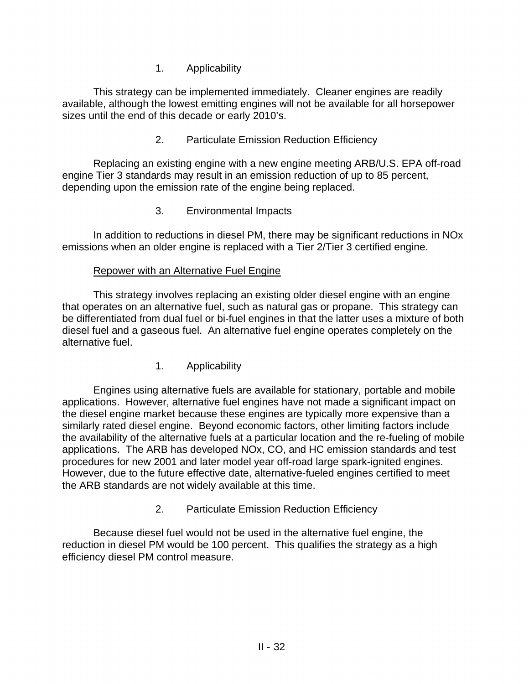1. Applicability

This strategy can be implemented immediately. Cleaner engines are readily available, although the lowest emitting engines will not be available for all horsepower sizes until the end of this decade or early 2010's.

2. Particulate Emission Reduction Efficiency

Replacing an existing engine with a new engine meeting ARB/U.S. EPA off-road engine Tier 3 standards may result in an emission reduction of up to 85 percent, depending upon the emission rate of the engine being replaced.

3. Environmental Impacts

In addition to reductions in diesel PM, there may be significant reductions in NOx emissions when an older engine is replaced with a Tier 2/Tier 3 certified engine.

#### Repower with an Alternative Fuel Engine

This strategy involves replacing an existing older diesel engine with an engine that operates on an alternative fuel, such as natural gas or propane. This strategy can be differentiated from dual fuel or bi-fuel engines in that the latter uses a mixture of both diesel fuel and a gaseous fuel. An alternative fuel engine operates completely on the alternative fuel.

1. Applicability

Engines using alternative fuels are available for stationary, portable and mobile applications. However, alternative fuel engines have not made a significant impact on the diesel engine market because these engines are typically more expensive than a similarly rated diesel engine. Beyond economic factors, other limiting factors include the availability of the alternative fuels at a particular location and the re-fueling of mobile applications. The ARB has developed NOx, CO, and HC emission standards and test procedures for new 2001 and later model year off-road large spark-ignited engines. However, due to the future effective date, alternative-fueled engines certified to meet the ARB standards are not widely available at this time.

2. Particulate Emission Reduction Efficiency

Because diesel fuel would not be used in the alternative fuel engine, the reduction in diesel PM would be 100 percent. This qualifies the strategy as a high efficiency diesel PM control measure.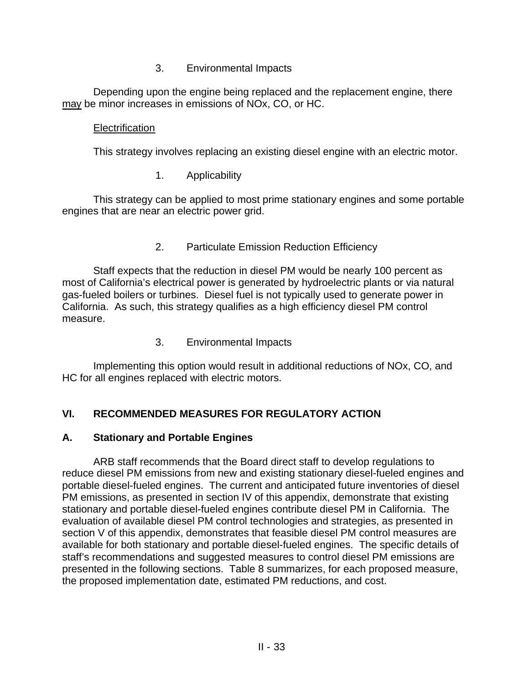#### 3. Environmental Impacts

Depending upon the engine being replaced and the replacement engine, there may be minor increases in emissions of NOx, CO, or HC.

#### **Electrification**

This strategy involves replacing an existing diesel engine with an electric motor.

1. Applicability

This strategy can be applied to most prime stationary engines and some portable engines that are near an electric power grid.

2. Particulate Emission Reduction Efficiency

Staff expects that the reduction in diesel PM would be nearly 100 percent as most of California's electrical power is generated by hydroelectric plants or via natural gas-fueled boilers or turbines. Diesel fuel is not typically used to generate power in California. As such, this strategy qualifies as a high efficiency diesel PM control measure.

3. Environmental Impacts

Implementing this option would result in additional reductions of NOx, CO, and HC for all engines replaced with electric motors.

## **VI. RECOMMENDED MEASURES FOR REGULATORY ACTION**

### **A. Stationary and Portable Engines**

ARB staff recommends that the Board direct staff to develop regulations to reduce diesel PM emissions from new and existing stationary diesel-fueled engines and portable diesel-fueled engines. The current and anticipated future inventories of diesel PM emissions, as presented in section IV of this appendix, demonstrate that existing stationary and portable diesel-fueled engines contribute diesel PM in California. The evaluation of available diesel PM control technologies and strategies, as presented in section V of this appendix, demonstrates that feasible diesel PM control measures are available for both stationary and portable diesel-fueled engines. The specific details of staff's recommendations and suggested measures to control diesel PM emissions are presented in the following sections. Table 8 summarizes, for each proposed measure, the proposed implementation date, estimated PM reductions, and cost.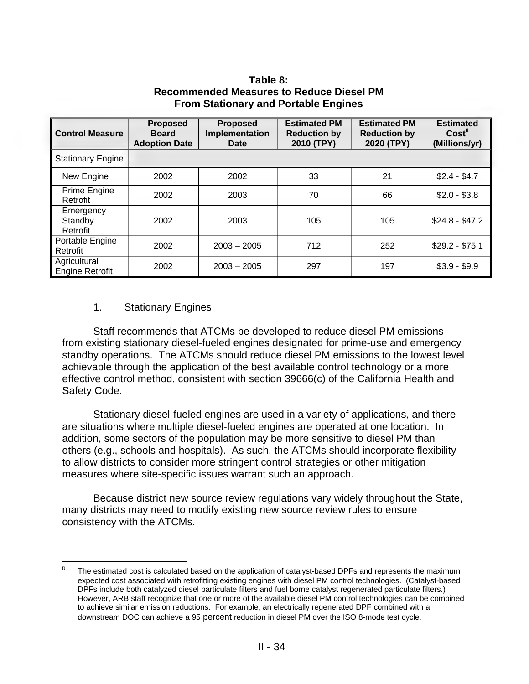| Table 8:                                        |  |
|-------------------------------------------------|--|
| <b>Recommended Measures to Reduce Diesel PM</b> |  |
| <b>From Stationary and Portable Engines</b>     |  |

| <b>Control Measure</b>                 | <b>Proposed</b><br><b>Board</b><br><b>Adoption Date</b> | <b>Proposed</b><br>Implementation<br>Date | <b>Estimated PM</b><br><b>Reduction by</b><br>2010 (TPY) | <b>Estimated PM</b><br><b>Reduction by</b><br>2020 (TPY) | <b>Estimated</b><br>Cost <sup>8</sup><br>(Millions/yr) |  |  |
|----------------------------------------|---------------------------------------------------------|-------------------------------------------|----------------------------------------------------------|----------------------------------------------------------|--------------------------------------------------------|--|--|
| <b>Stationary Engine</b>               |                                                         |                                           |                                                          |                                                          |                                                        |  |  |
| New Engine                             | 2002                                                    | 2002                                      | 33                                                       | 21                                                       | $$2.4 - $4.7$                                          |  |  |
| Prime Engine<br>Retrofit               | 2002                                                    | 2003                                      | 70                                                       | 66                                                       | $$2.0 - $3.8$                                          |  |  |
| Emergency<br>Standby<br>Retrofit       | 2002                                                    | 2003                                      | 105                                                      | 105                                                      | $$24.8 - $47.2$                                        |  |  |
| Portable Engine<br>Retrofit            | 2002                                                    | $2003 - 2005$                             | 712                                                      | 252                                                      | $$29.2 - $75.1$                                        |  |  |
| Agricultural<br><b>Engine Retrofit</b> | 2002                                                    | $2003 - 2005$                             | 297                                                      | 197                                                      | $$3.9 - $9.9$                                          |  |  |

#### 1. Stationary Engines

 $\overline{a}$ 

Staff recommends that ATCMs be developed to reduce diesel PM emissions from existing stationary diesel-fueled engines designated for prime-use and emergency standby operations. The ATCMs should reduce diesel PM emissions to the lowest level achievable through the application of the best available control technology or a more effective control method, consistent with section 39666(c) of the California Health and Safety Code.

Stationary diesel-fueled engines are used in a variety of applications, and there are situations where multiple diesel-fueled engines are operated at one location. In addition, some sectors of the population may be more sensitive to diesel PM than others (e.g., schools and hospitals). As such, the ATCMs should incorporate flexibility to allow districts to consider more stringent control strategies or other mitigation measures where site-specific issues warrant such an approach.

Because district new source review regulations vary widely throughout the State, many districts may need to modify existing new source review rules to ensure consistency with the ATCMs.

The estimated cost is calculated based on the application of catalyst-based DPFs and represents the maximum expected cost associated with retrofitting existing engines with diesel PM control technologies. (Catalyst-based DPFs include both catalyzed diesel particulate filters and fuel borne catalyst regenerated particulate filters.) However, ARB staff recognize that one or more of the available diesel PM control technologies can be combined to achieve similar emission reductions. For example, an electrically regenerated DPF combined with a downstream DOC can achieve a 95 percent reduction in diesel PM over the ISO 8-mode test cycle. 8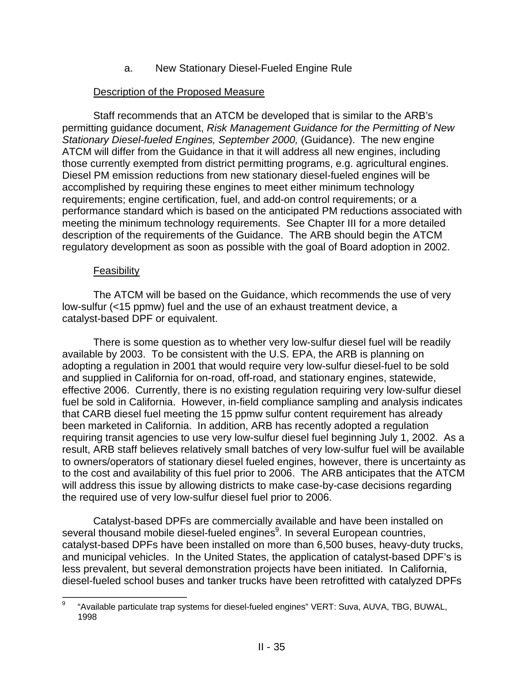a. New Stationary Diesel-Fueled Engine Rule

#### Description of the Proposed Measure

Staff recommends that an ATCM be developed that is similar to the ARB's permitting guidance document, *Risk Management Guidance for the Permitting of New Stationary Diesel-fueled Engines, September 2000,* (Guidance). The new engine ATCM will differ from the Guidance in that it will address all new engines, including those currently exempted from district permitting programs, e.g. agricultural engines. Diesel PM emission reductions from new stationary diesel-fueled engines will be accomplished by requiring these engines to meet either minimum technology requirements; engine certification, fuel, and add-on control requirements; or a performance standard which is based on the anticipated PM reductions associated with meeting the minimum technology requirements. See Chapter III for a more detailed description of the requirements of the Guidance. The ARB should begin the ATCM regulatory development as soon as possible with the goal of Board adoption in 2002.

#### Feasibility

The ATCM will be based on the Guidance, which recommends the use of very low-sulfur (<15 ppmw) fuel and the use of an exhaust treatment device, a catalyst-based DPF or equivalent.

There is some question as to whether very low-sulfur diesel fuel will be readily available by 2003. To be consistent with the U.S. EPA, the ARB is planning on adopting a regulation in 2001 that would require very low-sulfur diesel-fuel to be sold and supplied in California for on-road, off-road, and stationary engines, statewide, effective 2006. Currently, there is no existing regulation requiring very low-sulfur diesel fuel be sold in California. However, in-field compliance sampling and analysis indicates that CARB diesel fuel meeting the 15 ppmw sulfur content requirement has already been marketed in California. In addition, ARB has recently adopted a regulation requiring transit agencies to use very low-sulfur diesel fuel beginning July 1, 2002. As a result, ARB staff believes relatively small batches of very low-sulfur fuel will be available to owners/operators of stationary diesel fueled engines, however, there is uncertainty as to the cost and availability of this fuel prior to 2006. The ARB anticipates that the ATCM will address this issue by allowing districts to make case-by-case decisions regarding the required use of very low-sulfur diesel fuel prior to 2006.

Catalyst-based DPFs are commercially available and have been installed on several thousand mobile diesel-fueled engines<sup>9</sup>. In several European countries, catalyst-based DPFs have been installed on more than 6,500 buses, heavy-duty trucks, and municipal vehicles. In the United States, the application of catalyst-based DPF's is less prevalent, but several demonstration projects have been initiated. In California, diesel-fueled school buses and tanker trucks have been retrofitted with catalyzed DPFs

 $\frac{1}{9}$ "Available particulate trap systems for diesel-fueled engines" VERT: Suva, AUVA, TBG, BUWAL, 1998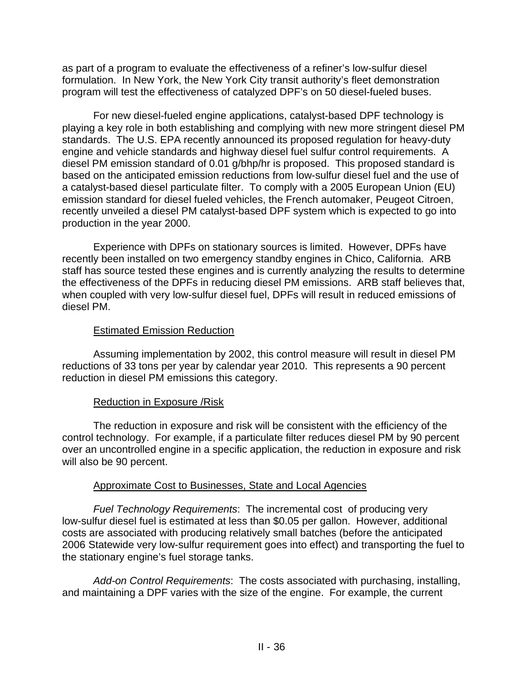as part of a program to evaluate the effectiveness of a refiner's low-sulfur diesel formulation. In New York, the New York City transit authority's fleet demonstration program will test the effectiveness of catalyzed DPF's on 50 diesel-fueled buses.

For new diesel-fueled engine applications, catalyst-based DPF technology is playing a key role in both establishing and complying with new more stringent diesel PM standards. The U.S. EPA recently announced its proposed regulation for heavy-duty engine and vehicle standards and highway diesel fuel sulfur control requirements. A diesel PM emission standard of 0.01 g/bhp/hr is proposed. This proposed standard is based on the anticipated emission reductions from low-sulfur diesel fuel and the use of a catalyst-based diesel particulate filter. To comply with a 2005 European Union (EU) emission standard for diesel fueled vehicles, the French automaker, Peugeot Citroen, recently unveiled a diesel PM catalyst-based DPF system which is expected to go into production in the year 2000.

Experience with DPFs on stationary sources is limited. However, DPFs have recently been installed on two emergency standby engines in Chico, California. ARB staff has source tested these engines and is currently analyzing the results to determine the effectiveness of the DPFs in reducing diesel PM emissions. ARB staff believes that, when coupled with very low-sulfur diesel fuel, DPFs will result in reduced emissions of diesel PM.

#### Estimated Emission Reduction

Assuming implementation by 2002, this control measure will result in diesel PM reductions of 33 tons per year by calendar year 2010. This represents a 90 percent reduction in diesel PM emissions this category.

#### Reduction in Exposure /Risk

The reduction in exposure and risk will be consistent with the efficiency of the control technology. For example, if a particulate filter reduces diesel PM by 90 percent over an uncontrolled engine in a specific application, the reduction in exposure and risk will also be 90 percent.

#### Approximate Cost to Businesses, State and Local Agencies

*Fuel Technology Requirements*: The incremental cost of producing very low-sulfur diesel fuel is estimated at less than \$0.05 per gallon. However, additional costs are associated with producing relatively small batches (before the anticipated 2006 Statewide very low-sulfur requirement goes into effect) and transporting the fuel to the stationary engine's fuel storage tanks.

*Add-on Control Requirements*: The costs associated with purchasing, installing, and maintaining a DPF varies with the size of the engine. For example, the current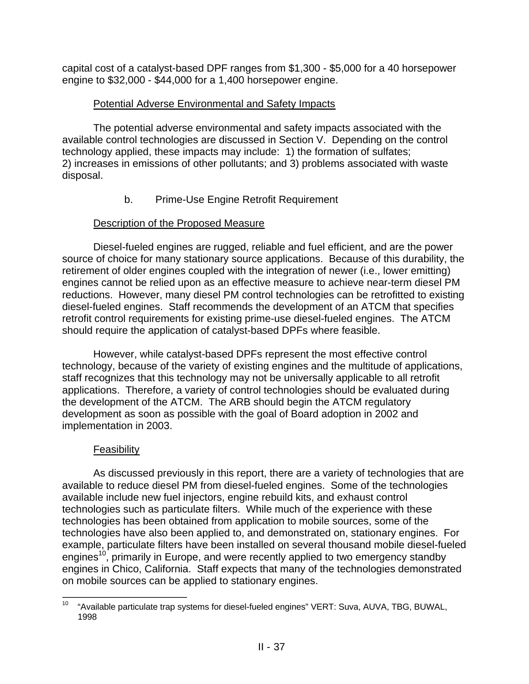capital cost of a catalyst-based DPF ranges from \$1,300 - \$5,000 for a 40 horsepower engine to \$32,000 - \$44,000 for a 1,400 horsepower engine.

### Potential Adverse Environmental and Safety Impacts

The potential adverse environmental and safety impacts associated with the available control technologies are discussed in Section V. Depending on the control technology applied, these impacts may include: 1) the formation of sulfates; 2) increases in emissions of other pollutants; and 3) problems associated with waste disposal.

b. Prime-Use Engine Retrofit Requirement

### Description of the Proposed Measure

Diesel-fueled engines are rugged, reliable and fuel efficient, and are the power source of choice for many stationary source applications. Because of this durability, the retirement of older engines coupled with the integration of newer (i.e., lower emitting) engines cannot be relied upon as an effective measure to achieve near-term diesel PM reductions. However, many diesel PM control technologies can be retrofitted to existing diesel-fueled engines. Staff recommends the development of an ATCM that specifies retrofit control requirements for existing prime-use diesel-fueled engines. The ATCM should require the application of catalyst-based DPFs where feasible.

However, while catalyst-based DPFs represent the most effective control technology, because of the variety of existing engines and the multitude of applications, staff recognizes that this technology may not be universally applicable to all retrofit applications. Therefore, a variety of control technologies should be evaluated during the development of the ATCM. The ARB should begin the ATCM regulatory development as soon as possible with the goal of Board adoption in 2002 and implementation in 2003.

### Feasibility

As discussed previously in this report, there are a variety of technologies that are available to reduce diesel PM from diesel-fueled engines. Some of the technologies available include new fuel injectors, engine rebuild kits, and exhaust control technologies such as particulate filters. While much of the experience with these technologies has been obtained from application to mobile sources, some of the technologies have also been applied to, and demonstrated on, stationary engines. For example, particulate filters have been installed on several thousand mobile diesel-fueled engines<sup>10</sup>, primarily in Europe, and were recently applied to two emergency standby engines in Chico, California. Staff expects that many of the technologies demonstrated on mobile sources can be applied to stationary engines.

 $10\,$ "Available particulate trap systems for diesel-fueled engines" VERT: Suva, AUVA, TBG, BUWAL, 1998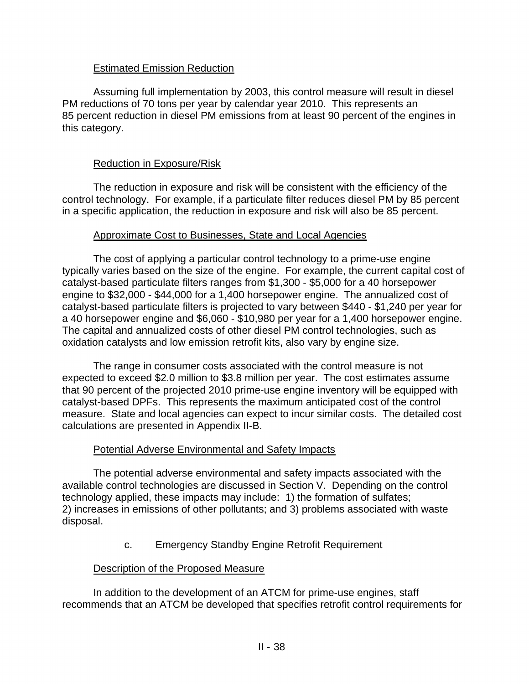#### Estimated Emission Reduction

Assuming full implementation by 2003, this control measure will result in diesel PM reductions of 70 tons per year by calendar year 2010. This represents an 85 percent reduction in diesel PM emissions from at least 90 percent of the engines in this category.

#### Reduction in Exposure/Risk

The reduction in exposure and risk will be consistent with the efficiency of the control technology. For example, if a particulate filter reduces diesel PM by 85 percent in a specific application, the reduction in exposure and risk will also be 85 percent.

#### Approximate Cost to Businesses, State and Local Agencies

The cost of applying a particular control technology to a prime-use engine typically varies based on the size of the engine. For example, the current capital cost of catalyst-based particulate filters ranges from \$1,300 - \$5,000 for a 40 horsepower engine to \$32,000 - \$44,000 for a 1,400 horsepower engine. The annualized cost of catalyst-based particulate filters is projected to vary between \$440 - \$1,240 per year for a 40 horsepower engine and \$6,060 - \$10,980 per year for a 1,400 horsepower engine. The capital and annualized costs of other diesel PM control technologies, such as oxidation catalysts and low emission retrofit kits, also vary by engine size.

The range in consumer costs associated with the control measure is not expected to exceed \$2.0 million to \$3.8 million per year. The cost estimates assume that 90 percent of the projected 2010 prime-use engine inventory will be equipped with catalyst-based DPFs. This represents the maximum anticipated cost of the control measure. State and local agencies can expect to incur similar costs. The detailed cost calculations are presented in Appendix II-B.

### Potential Adverse Environmental and Safety Impacts

The potential adverse environmental and safety impacts associated with the available control technologies are discussed in Section V. Depending on the control technology applied, these impacts may include: 1) the formation of sulfates; 2) increases in emissions of other pollutants; and 3) problems associated with waste disposal.

c. Emergency Standby Engine Retrofit Requirement

#### Description of the Proposed Measure

In addition to the development of an ATCM for prime-use engines, staff recommends that an ATCM be developed that specifies retrofit control requirements for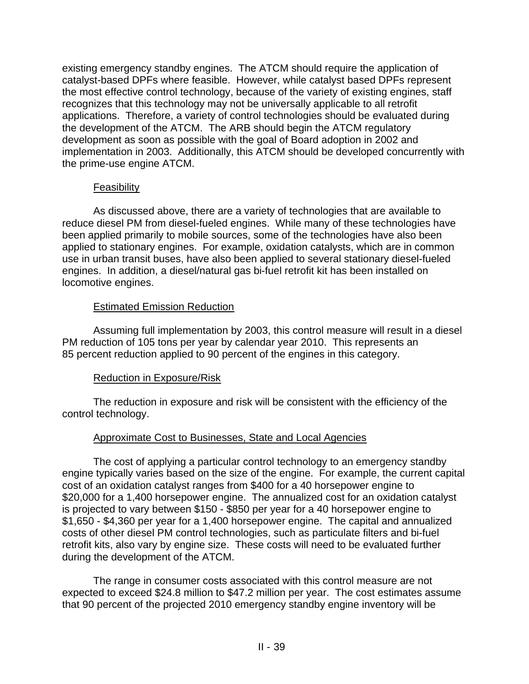existing emergency standby engines. The ATCM should require the application of catalyst-based DPFs where feasible. However, while catalyst based DPFs represent the most effective control technology, because of the variety of existing engines, staff recognizes that this technology may not be universally applicable to all retrofit applications. Therefore, a variety of control technologies should be evaluated during the development of the ATCM. The ARB should begin the ATCM regulatory development as soon as possible with the goal of Board adoption in 2002 and implementation in 2003. Additionally, this ATCM should be developed concurrently with the prime-use engine ATCM.

#### **Feasibility**

As discussed above, there are a variety of technologies that are available to reduce diesel PM from diesel-fueled engines. While many of these technologies have been applied primarily to mobile sources, some of the technologies have also been applied to stationary engines. For example, oxidation catalysts, which are in common use in urban transit buses, have also been applied to several stationary diesel-fueled engines. In addition, a diesel/natural gas bi-fuel retrofit kit has been installed on locomotive engines.

#### Estimated Emission Reduction

Assuming full implementation by 2003, this control measure will result in a diesel PM reduction of 105 tons per year by calendar year 2010. This represents an 85 percent reduction applied to 90 percent of the engines in this category.

### Reduction in Exposure/Risk

The reduction in exposure and risk will be consistent with the efficiency of the control technology.

### Approximate Cost to Businesses, State and Local Agencies

The cost of applying a particular control technology to an emergency standby engine typically varies based on the size of the engine. For example, the current capital cost of an oxidation catalyst ranges from \$400 for a 40 horsepower engine to \$20,000 for a 1,400 horsepower engine. The annualized cost for an oxidation catalyst is projected to vary between \$150 - \$850 per year for a 40 horsepower engine to \$1,650 - \$4,360 per year for a 1,400 horsepower engine. The capital and annualized costs of other diesel PM control technologies, such as particulate filters and bi-fuel retrofit kits, also vary by engine size. These costs will need to be evaluated further during the development of the ATCM.

The range in consumer costs associated with this control measure are not expected to exceed \$24.8 million to \$47.2 million per year. The cost estimates assume that 90 percent of the projected 2010 emergency standby engine inventory will be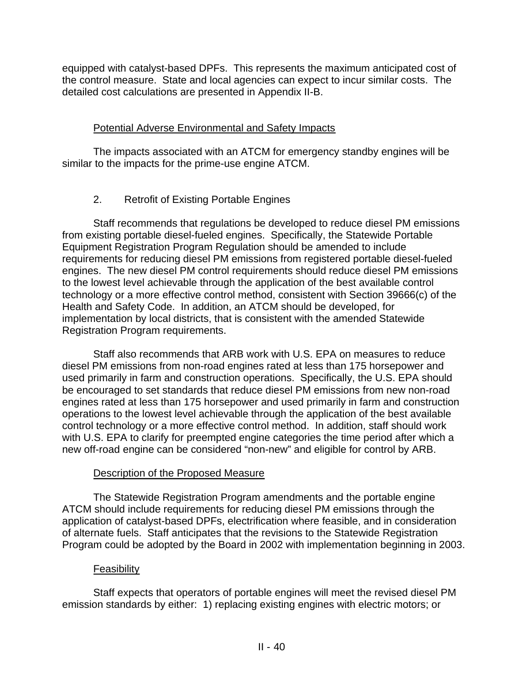equipped with catalyst-based DPFs. This represents the maximum anticipated cost of the control measure. State and local agencies can expect to incur similar costs. The detailed cost calculations are presented in Appendix II-B.

### Potential Adverse Environmental and Safety Impacts

The impacts associated with an ATCM for emergency standby engines will be similar to the impacts for the prime-use engine ATCM.

## 2. Retrofit of Existing Portable Engines

Staff recommends that regulations be developed to reduce diesel PM emissions from existing portable diesel-fueled engines. Specifically, the Statewide Portable Equipment Registration Program Regulation should be amended to include requirements for reducing diesel PM emissions from registered portable diesel-fueled engines. The new diesel PM control requirements should reduce diesel PM emissions to the lowest level achievable through the application of the best available control technology or a more effective control method, consistent with Section 39666(c) of the Health and Safety Code. In addition, an ATCM should be developed, for implementation by local districts, that is consistent with the amended Statewide Registration Program requirements.

Staff also recommends that ARB work with U.S. EPA on measures to reduce diesel PM emissions from non-road engines rated at less than 175 horsepower and used primarily in farm and construction operations. Specifically, the U.S. EPA should be encouraged to set standards that reduce diesel PM emissions from new non-road engines rated at less than 175 horsepower and used primarily in farm and construction operations to the lowest level achievable through the application of the best available control technology or a more effective control method. In addition, staff should work with U.S. EPA to clarify for preempted engine categories the time period after which a new off-road engine can be considered "non-new" and eligible for control by ARB.

### Description of the Proposed Measure

The Statewide Registration Program amendments and the portable engine ATCM should include requirements for reducing diesel PM emissions through the application of catalyst-based DPFs, electrification where feasible, and in consideration of alternate fuels. Staff anticipates that the revisions to the Statewide Registration Program could be adopted by the Board in 2002 with implementation beginning in 2003.

### Feasibility

Staff expects that operators of portable engines will meet the revised diesel PM emission standards by either: 1) replacing existing engines with electric motors; or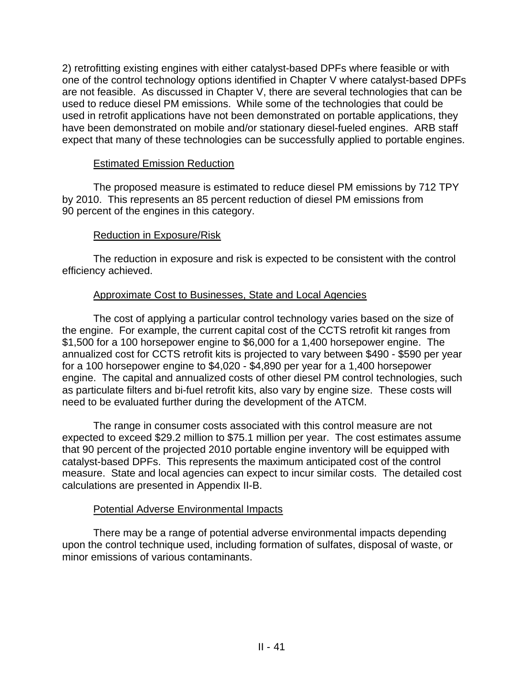2) retrofitting existing engines with either catalyst-based DPFs where feasible or with one of the control technology options identified in Chapter V where catalyst-based DPFs are not feasible. As discussed in Chapter V, there are several technologies that can be used to reduce diesel PM emissions. While some of the technologies that could be used in retrofit applications have not been demonstrated on portable applications, they have been demonstrated on mobile and/or stationary diesel-fueled engines. ARB staff expect that many of these technologies can be successfully applied to portable engines.

#### Estimated Emission Reduction

The proposed measure is estimated to reduce diesel PM emissions by 712 TPY by 2010. This represents an 85 percent reduction of diesel PM emissions from 90 percent of the engines in this category.

### Reduction in Exposure/Risk

The reduction in exposure and risk is expected to be consistent with the control efficiency achieved.

### Approximate Cost to Businesses, State and Local Agencies

The cost of applying a particular control technology varies based on the size of the engine. For example, the current capital cost of the CCTS retrofit kit ranges from \$1,500 for a 100 horsepower engine to \$6,000 for a 1,400 horsepower engine. The annualized cost for CCTS retrofit kits is projected to vary between \$490 - \$590 per year for a 100 horsepower engine to \$4,020 - \$4,890 per year for a 1,400 horsepower engine. The capital and annualized costs of other diesel PM control technologies, such as particulate filters and bi-fuel retrofit kits, also vary by engine size. These costs will need to be evaluated further during the development of the ATCM.

The range in consumer costs associated with this control measure are not expected to exceed \$29.2 million to \$75.1 million per year. The cost estimates assume that 90 percent of the projected 2010 portable engine inventory will be equipped with catalyst-based DPFs. This represents the maximum anticipated cost of the control measure. State and local agencies can expect to incur similar costs. The detailed cost calculations are presented in Appendix II-B.

#### Potential Adverse Environmental Impacts

There may be a range of potential adverse environmental impacts depending upon the control technique used, including formation of sulfates, disposal of waste, or minor emissions of various contaminants.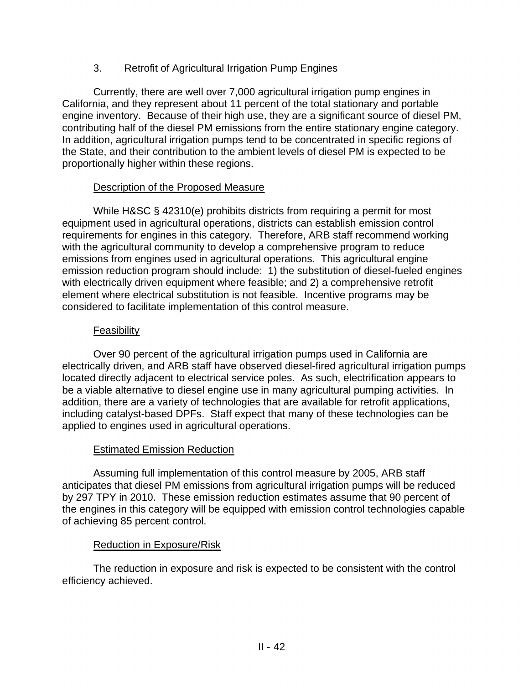### 3. Retrofit of Agricultural Irrigation Pump Engines

Currently, there are well over 7,000 agricultural irrigation pump engines in California, and they represent about 11 percent of the total stationary and portable engine inventory. Because of their high use, they are a significant source of diesel PM, contributing half of the diesel PM emissions from the entire stationary engine category. In addition, agricultural irrigation pumps tend to be concentrated in specific regions of the State, and their contribution to the ambient levels of diesel PM is expected to be proportionally higher within these regions.

#### Description of the Proposed Measure

While H&SC § 42310(e) prohibits districts from requiring a permit for most equipment used in agricultural operations, districts can establish emission control requirements for engines in this category. Therefore, ARB staff recommend working with the agricultural community to develop a comprehensive program to reduce emissions from engines used in agricultural operations. This agricultural engine emission reduction program should include: 1) the substitution of diesel-fueled engines with electrically driven equipment where feasible; and 2) a comprehensive retrofit element where electrical substitution is not feasible. Incentive programs may be considered to facilitate implementation of this control measure.

#### **Feasibility**

Over 90 percent of the agricultural irrigation pumps used in California are electrically driven, and ARB staff have observed diesel-fired agricultural irrigation pumps located directly adjacent to electrical service poles. As such, electrification appears to be a viable alternative to diesel engine use in many agricultural pumping activities. In addition, there are a variety of technologies that are available for retrofit applications, including catalyst-based DPFs. Staff expect that many of these technologies can be applied to engines used in agricultural operations.

### Estimated Emission Reduction

Assuming full implementation of this control measure by 2005, ARB staff anticipates that diesel PM emissions from agricultural irrigation pumps will be reduced by 297 TPY in 2010. These emission reduction estimates assume that 90 percent of the engines in this category will be equipped with emission control technologies capable of achieving 85 percent control.

#### Reduction in Exposure/Risk

The reduction in exposure and risk is expected to be consistent with the control efficiency achieved.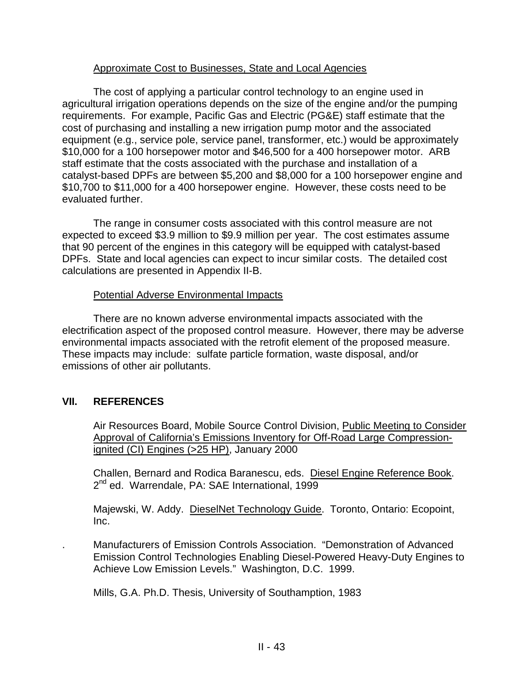#### Approximate Cost to Businesses, State and Local Agencies

The cost of applying a particular control technology to an engine used in agricultural irrigation operations depends on the size of the engine and/or the pumping requirements. For example, Pacific Gas and Electric (PG&E) staff estimate that the cost of purchasing and installing a new irrigation pump motor and the associated equipment (e.g., service pole, service panel, transformer, etc.) would be approximately \$10,000 for a 100 horsepower motor and \$46,500 for a 400 horsepower motor. ARB staff estimate that the costs associated with the purchase and installation of a catalyst-based DPFs are between \$5,200 and \$8,000 for a 100 horsepower engine and \$10,700 to \$11,000 for a 400 horsepower engine. However, these costs need to be evaluated further.

The range in consumer costs associated with this control measure are not expected to exceed \$3.9 million to \$9.9 million per year. The cost estimates assume that 90 percent of the engines in this category will be equipped with catalyst-based DPFs. State and local agencies can expect to incur similar costs. The detailed cost calculations are presented in Appendix II-B.

#### Potential Adverse Environmental Impacts

There are no known adverse environmental impacts associated with the electrification aspect of the proposed control measure. However, there may be adverse environmental impacts associated with the retrofit element of the proposed measure. These impacts may include: sulfate particle formation, waste disposal, and/or emissions of other air pollutants.

#### **VII. REFERENCES**

Air Resources Board, Mobile Source Control Division, Public Meeting to Consider Approval of California's Emissions Inventory for Off-Road Large Compressionignited (CI) Engines (>25 HP), January 2000

Challen, Bernard and Rodica Baranescu, eds. Diesel Engine Reference Book. 2<sup>nd</sup> ed. Warrendale, PA: SAE International, 1999

Majewski, W. Addy. DieselNet Technology Guide. Toronto, Ontario: Ecopoint, Inc.

. Manufacturers of Emission Controls Association. "Demonstration of Advanced Emission Control Technologies Enabling Diesel-Powered Heavy-Duty Engines to Achieve Low Emission Levels." Washington, D.C. 1999.

Mills, G.A. Ph.D. Thesis, University of Southamption, 1983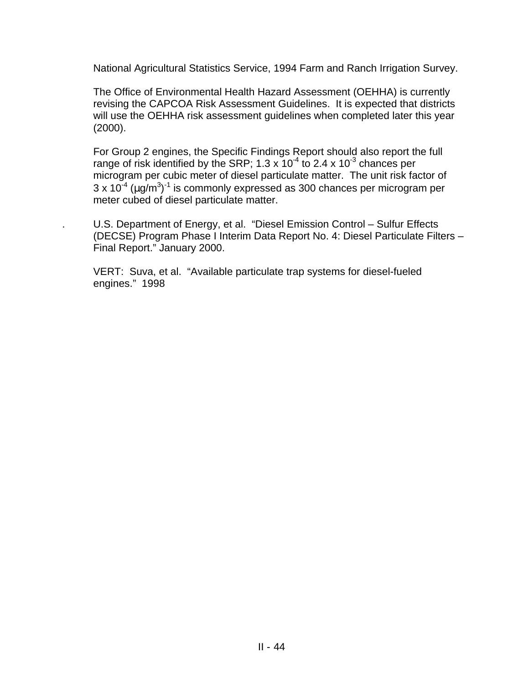National Agricultural Statistics Service, 1994 Farm and Ranch Irrigation Survey.

The Office of Environmental Health Hazard Assessment (OEHHA) is currently revising the CAPCOA Risk Assessment Guidelines. It is expected that districts will use the OEHHA risk assessment guidelines when completed later this year (2000).

For Group 2 engines, the Specific Findings Report should also report the full range of risk identified by the SRP; 1.3 x  $10^{-4}$  to 2.4 x  $10^{-3}$  chances per microgram per cubic meter of diesel particulate matter. The unit risk factor of  $3 \times 10^{-4}$  (µg/m<sup>3</sup>)<sup>-1</sup> is commonly expressed as 300 chances per microgram per meter cubed of diesel particulate matter.

. U.S. Department of Energy, et al. "Diesel Emission Control – Sulfur Effects (DECSE) Program Phase I Interim Data Report No. 4: Diesel Particulate Filters – Final Report." January 2000.

VERT: Suva, et al. "Available particulate trap systems for diesel-fueled engines." 1998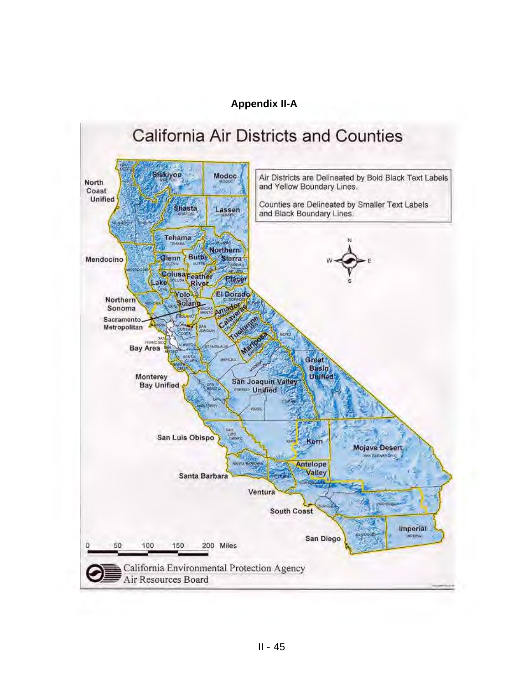### **Appendix II-A**

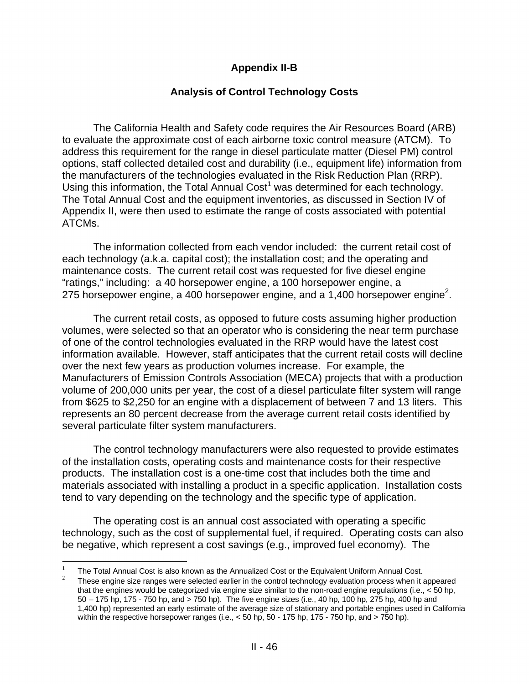### **Appendix II-B**

#### **Analysis of Control Technology Costs**

The California Health and Safety code requires the Air Resources Board (ARB) to evaluate the approximate cost of each airborne toxic control measure (ATCM). To address this requirement for the range in diesel particulate matter (Diesel PM) control options, staff collected detailed cost and durability (i.e., equipment life) information from the manufacturers of the technologies evaluated in the Risk Reduction Plan (RRP). Using this information, the Total Annual Cost<sup>1</sup> was determined for each technology. The Total Annual Cost and the equipment inventories, as discussed in Section IV of Appendix II, were then used to estimate the range of costs associated with potential ATCMs.

The information collected from each vendor included: the current retail cost of each technology (a.k.a. capital cost); the installation cost; and the operating and maintenance costs. The current retail cost was requested for five diesel engine "ratings," including: a 40 horsepower engine, a 100 horsepower engine, a 275 horsepower engine, a 400 horsepower engine, and a 1,400 horsepower engine<sup>2</sup>.

The current retail costs, as opposed to future costs assuming higher production volumes, were selected so that an operator who is considering the near term purchase of one of the control technologies evaluated in the RRP would have the latest cost information available. However, staff anticipates that the current retail costs will decline over the next few years as production volumes increase. For example, the Manufacturers of Emission Controls Association (MECA) projects that with a production volume of 200,000 units per year, the cost of a diesel particulate filter system will range from \$625 to \$2,250 for an engine with a displacement of between 7 and 13 liters. This represents an 80 percent decrease from the average current retail costs identified by several particulate filter system manufacturers.

The control technology manufacturers were also requested to provide estimates of the installation costs, operating costs and maintenance costs for their respective products. The installation cost is a one-time cost that includes both the time and materials associated with installing a product in a specific application. Installation costs tend to vary depending on the technology and the specific type of application.

The operating cost is an annual cost associated with operating a specific technology, such as the cost of supplemental fuel, if required. Operating costs can also be negative, which represent a cost savings (e.g., improved fuel economy). The

 $\overline{a}$ 

<sup>&</sup>lt;sup>1</sup> The Total Annual Cost is also known as the Annualized Cost or the Equivalent Uniform Annual Cost.

<sup>2</sup>These engine size ranges were selected earlier in the control technology evaluation process when it appeared that the engines would be categorized via engine size similar to the non-road engine regulations (i.e., < 50 hp, 50 – 175 hp, 175 - 750 hp, and > 750 hp). The five engine sizes (i.e., 40 hp, 100 hp, 275 hp, 400 hp and 1,400 hp) represented an early estimate of the average size of stationary and portable engines used in California within the respective horsepower ranges (i.e., < 50 hp, 50 - 175 hp, 175 - 750 hp, and > 750 hp).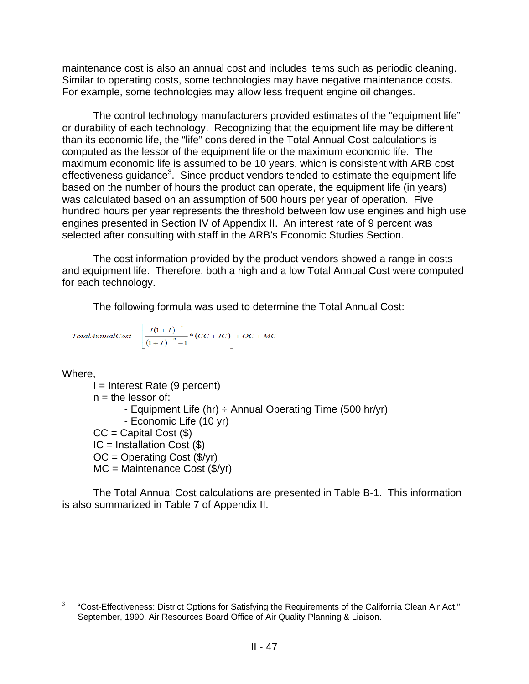maintenance cost is also an annual cost and includes items such as periodic cleaning. Similar to operating costs, some technologies may have negative maintenance costs. For example, some technologies may allow less frequent engine oil changes.

The control technology manufacturers provided estimates of the "equipment life" or durability of each technology. Recognizing that the equipment life may be different than its economic life, the "life" considered in the Total Annual Cost calculations is computed as the lessor of the equipment life or the maximum economic life. The maximum economic life is assumed to be 10 years, which is consistent with ARB cost effectiveness guidance<sup>3</sup>. Since product vendors tended to estimate the equipment life based on the number of hours the product can operate, the equipment life (in years) was calculated based on an assumption of 500 hours per year of operation. Five hundred hours per year represents the threshold between low use engines and high use engines presented in Section IV of Appendix II. An interest rate of 9 percent was selected after consulting with staff in the ARB's Economic Studies Section.

The cost information provided by the product vendors showed a range in costs and equipment life. Therefore, both a high and a low Total Annual Cost were computed for each technology.

The following formula was used to determine the Total Annual Cost:

$$
TotalAnnualCost = \left[ \frac{I(1+I)}{(1+I)^{-n} - 1} * (CC + IC) \right] + OC + MC
$$

Where,

 $I =$  Interest Rate (9 percent)  $n =$  the lessor of: - Equipment Life (hr)  $\div$  Annual Operating Time (500 hr/yr) - Economic Life (10 yr)  $CC =$  Capital Cost  $(\$)$  $IC =$  Installation Cost  $(\$)$  $OC = Operating Cost ($/yr)$  $MC = Maintenance Cost ($(/yr)$ 

The Total Annual Cost calculations are presented in Table B-1. This information is also summarized in Table 7 of Appendix II.

 3 "Cost-Effectiveness: District Options for Satisfying the Requirements of the California Clean Air Act," September, 1990, Air Resources Board Office of Air Quality Planning & Liaison.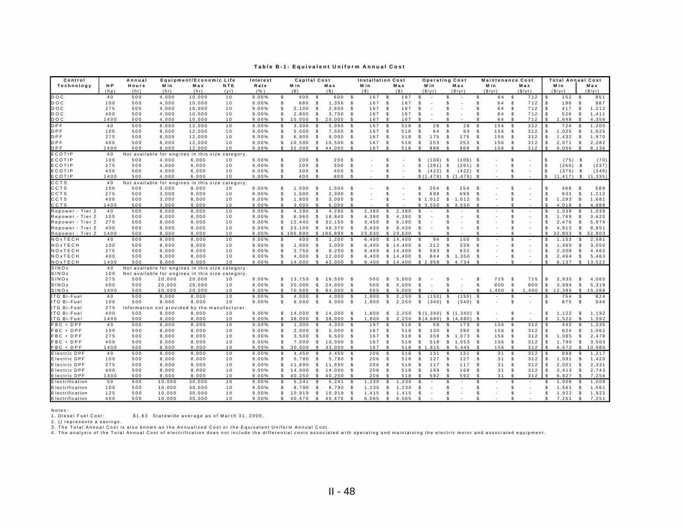#### **Table B-1: Equivalent Uniform Annual Cost**

| Control                                    |             | Annual     |                                            | Equipment/Economic Life |                                                  | Interest       |              | <b>Capital Cost</b> |                    |                 |               | <b>Installation Cost</b> |                            |            | <b>Operating Cost</b>                  |                     |                          |                           | <b>Maintenance Cost</b>                              |              | <b>Total Annual Cost</b> |                    |                   |
|--------------------------------------------|-------------|------------|--------------------------------------------|-------------------------|--------------------------------------------------|----------------|--------------|---------------------|--------------------|-----------------|---------------|--------------------------|----------------------------|------------|----------------------------------------|---------------------|--------------------------|---------------------------|------------------------------------------------------|--------------|--------------------------|--------------------|-------------------|
| Technology                                 | ΗP          | Hours      | Min                                        | Max                     | NTE                                              | Rate           |              | Min                 |                    | Max             |               | Min                      |                            | Max        | Min                                    | Max                 | Min                      |                           | Max                                                  |              | Min                      |                    | Max               |
|                                            | (hp)        | (hr)       | (hr)                                       | (hr)                    | (v <sub>r</sub> )                                | (% )           |              | (S)                 |                    | (S)             |               | (S)                      |                            | (S)        | (S/vr)                                 | (S/vr)              | (S/vr)                   |                           | (S/vr)                                               |              | (S/vr)                   |                    | S(vr)             |
| DOC                                        | 40          | 500        | 4.000                                      | 10.000                  | 10                                               | 9.00%          | s.           | 400                 | - \$               | 600             | - \$          | 167                      | - \$                       | 167        | \$                                     | \$                  | \$                       | 64<br>- \$                | 712                                                  | - \$         | 152                      | -S                 | 851               |
| <b>DOC</b>                                 | 100         | 500        | 4,000                                      | 10,000                  | 10                                               | 9.00%          | \$.          | 680                 | $\mathbf{\hat{s}}$ | 1,356           | Ŝ.            | 167                      | -S                         | 167        | \$.                                    | \$                  | S.                       | 64<br>-S                  | 712                                                  | -S           | 196                      | £.                 | 987               |
| <b>DOC</b>                                 | 275         | 500        | 4,000                                      | 10,000                  | 10                                               | 9.00%          | \$           | 2,100               | -\$                | 2,600           | \$            | 167                      | -S                         | 167        | S                                      | S                   | -S                       | 64<br>\$                  | 712                                                  |              | 417                      | -S                 | 1,212             |
| DOC                                        | 400         | 500        | 4,000                                      | 10,000                  | 10                                               | 9.00%          | \$           | 2,800               | \$                 | 3,700           | -S            | 167                      | - \$                       | 167        | £.                                     | S                   | $\mathbf{\hat{s}}$       | 64<br>\$                  | 712                                                  | -\$          | 526                      | -S                 | 1,411             |
| DOC                                        | 1400        | 500        | 4,000                                      | 10,000                  | 10                                               | 9.00%          | s.           | 10,000              | - \$               | 20,000          |               | 167                      | - \$                       | 167        | ፍ                                      | ፍ                   | ¢                        | 64<br>$\mathcal{L}$       | 712                                                  | - \$         | 1,648                    | $\hat{\mathbf{r}}$ | 4,356             |
| DPF                                        | 40          | 500        | 8.000                                      | 12.000                  | 10                                               | 9.00%          | \$           | 3.300               | -S                 | 5.000           | -S            | 167                      | $\mathbf{\hat{s}}$         | 518        | 28<br>£.                               | $\mathcal{S}$<br>28 | $\mathbf{\hat{s}}$       | 156<br>- \$               | 312                                                  |              | 724                      | £.                 | 1,200             |
| <b>DPF</b>                                 | 100         | 500        | 8,000                                      | 12,000                  | 10                                               | 9.00%          | \$           | 5,000               | $\mathbf{\hat{s}}$ | 7,500           | -S            | 167                      | $\mathbf{\hat{s}}$         | 518        | 64<br>£.                               | 64<br>- \$          | \$                       | -S<br>156                 | 312                                                  | -\$          | 1,025                    | - \$               | 1,625             |
| <b>DPF</b>                                 | 275         | 500        | 8,000                                      | 12,000                  | 10                                               | 9.00%          | s.           | 6,900               | \$                 | 9,000           | -S            | 167                      | \$                         | 518        | \$<br>175                              | \$<br>175           | \$                       | 156<br>- \$               | 312                                                  | - \$         | 1,432                    | -S                 | 1,970             |
| <b>DPF</b>                                 | 400         | 500        | 8,000                                      | 12,000                  | 10                                               | 9.00%          | \$           | 10,500              | \$                 | 10,500          | -96           | 167                      | -S                         | 518        | 253<br>\$                              | 253<br>-S           | -\$                      | 156<br>- \$               | 312                                                  | -\$          | 2,071                    | \$                 | 2,282             |
| DPF                                        | 1400        | 500        | 8,000                                      | 12,000                  | 10                                               | 9.00%          | \$           | 32,000              | \$                 | 44,000          |               | 167                      | -96                        | 518        | 888<br>- \$                            | 888<br>- \$         | - \$                     | 156<br>- 96               | 312                                                  |              | 6,056                    | -S                 | 8,136             |
| ECOTIP                                     | 40          |            | Not available for engines in this          |                         | size category.                                   |                |              |                     |                    |                 |               |                          |                            |            |                                        |                     |                          |                           |                                                      |              |                          |                    |                   |
| ECOTIP                                     | 100         | 500        | 4,000                                      | 6,000                   | 10                                               | 9.00%          | \$           | 200                 | - \$               | 200             | \$            |                          | <b>S</b>                   |            | (106)<br>\$                            | $(106)$ \$<br>- \$  |                          | £.                        |                                                      | -S           | $(75)$ \$                |                    | (70)              |
| ECOTIP                                     | 275         | 500        | 4,000                                      | 6,000                   | 10                                               | 9.00%          | \$           | 200                 | - \$               | 300             | -S            |                          | -S                         |            | (291)<br>\$                            | - \$<br>(291)       | -\$                      | -S.                       | $\overline{\phantom{a}}$<br>$\overline{\phantom{a}}$ | - S          | (260)                    | \$                 | (237)             |
| ECOTIP<br>ECOTIP                           | 400<br>1400 | 500<br>500 | 4,000<br>4.000                             | 6,000<br>6.000          | 10<br>10                                         | 9.00%<br>9.00% | \$<br>\$.    | 300<br>400          | - \$<br>- \$       | 400<br>800      | \$            |                          | -S                         |            | \$<br>(422)<br>$$(1.479)$ \$ $(1.479)$ | \$<br>(422)         | -\$<br>$\mathcal{S}$     | \$.<br>¢                  |                                                      | -S<br>-S     | (375)<br>(1.417)         | \$<br>$^{\circ}$   | (349)<br>(1, 335) |
| CCTS                                       |             |            |                                            |                         |                                                  |                |              |                     |                    |                 |               |                          |                            |            |                                        |                     |                          |                           |                                                      |              |                          |                    |                   |
| CCTS                                       | 40<br>100   | 500        | Not available for engines in this<br>3,000 | 8,000                   | size category.<br>10                             | 9.00%          | \$           | 1,500               | - \$               | 1,500           | S.            |                          | -S                         |            | \$.<br>254                             | 254<br>\$           | - \$                     | S                         | $\overline{\phantom{a}}$                             | £.           | 488                      | - \$               | 589               |
| CCTS                                       | 275         | 500        |                                            |                         |                                                  | 9.00%          | \$           | 1,500               |                    | 2,300           | -S            |                          | -S                         |            | \$<br>699                              | \$<br>699           | -S                       | £.                        | $\overline{\phantom{a}}$                             |              |                          |                    | 1,212             |
| CCTS                                       | 400         | 500        | 3,000<br>3,000                             | 8,000<br>8,000          | 10<br>10                                         | 9.00%          | s.           | 1.800               | -\$<br>-S          | 3.000           | -S            |                          | $\mathfrak{L}$             |            | \$1.012                                | \$<br>1.012         | -S                       | £.                        | $\overline{\phantom{a}}$                             | £.           | 933<br>1.293             | \$<br><b>S</b>     | 1,681             |
| CCTS                                       | 1400        | 500        | 3.000                                      | 8.000                   | 10                                               | 9.00%          | \$.          | 3.000               | -S                 | 6.000           |               |                          |                            |            | \$3.550                                | s.<br>3.550         | £.                       | £.                        |                                                      |              | 4.018                    |                    | 4.888             |
| Repower - Tier 2                           | 40          | 500        | 8,000                                      | 8,000                   | 10                                               | 9.00%          | \$           | 4,290               | \$                 | 4,290           |               | 2,380                    | \$                         | 2,380      | \$                                     |                     | S                        | \$                        | $\overline{\phantom{a}}$                             | -S           | 1,039                    | -8                 | 1,039             |
| Repower - Tier 2                           | 100         | 500        | 8,000                                      | 8,000                   | 10                                               | 9.00%          | \$           | 6,960               | \$                 | 18,840          | \$            | 4,390                    | -S                         | 4,390      | \$.                                    | \$.                 | £.                       | £.                        | $\overline{\phantom{a}}$                             |              | 1,769                    | -S                 | 3,620             |
| Repower - Tier 2                           | 275         | 500        | 8,000                                      | 8,000                   | 10                                               | 9.00%          | \$           | 12,440              | \$                 | 32,150          | \$            | 3,450                    | \$                         | 6,190      | \$                                     | S                   | S                        | £.                        |                                                      | -S           | 2,476                    | S.                 | 5,974             |
| Repower - Tier 2                           | 400         | 500        | 8,000                                      | 8,000                   | 10                                               | 9.00%          | $\mathbb{S}$ | 23.100              | -S                 | 48.370          | \$            | 8.430                    | S.                         | 8.430      | £.                                     | S                   | $\mathfrak{L}$           | \$.                       | $\overline{\phantom{a}}$                             | - \$         | 4.913                    | -S                 | 8,851             |
| Repower - Tier 2                           | 1400        | 500        | 8.000                                      | 8.000                   | 10                                               | 9.00%          |              | \$186,890           |                    | \$186.890       |               | 23.630                   | $\mathbf{s}$               | 23.630     |                                        |                     | $\hat{\mathbf{r}}$       | ፍ                         |                                                      |              | 32.803                   | $\mathbb{Q}$       | 32.803            |
| NOxTECH                                    | 40          | 500        | 8,000                                      | 8,000                   | 10                                               | 9.00%          | \$           | 400                 | -S                 | 1,200           | -S            | 6.400                    |                            | \$14,400   | £.<br>94                               | \$.<br>150          | $\mathbf{s}$             | -S.                       | $\overline{\phantom{a}}$                             |              | 1,153                    | -S                 | 2,581             |
| NOxTECH                                    | 100         | 500        | 8,000                                      | 8,000                   | 10                                               | 9.00%          | \$           | 1,000               | -S                 | 3,000           | \$            | 6,400                    |                            | \$14,400   | \$<br>212                              | 339<br>- \$         | £.                       | £.                        | $\overline{\phantom{a}}$                             | -S           | 1,365                    | -S                 | 3,050             |
| $N$ O x T E C H                            | 275         | 500        | 8,000                                      | 8.000                   | 10                                               | 9.00%          | \$           | 2.750               | S                  | 8,250           | \$            | 6.400                    |                            | \$14.400   | Ŝ.<br>583                              | Ŝ.<br>932           | -S                       | £.                        |                                                      |              | 2.008                    | - \$               | 4,462             |
| NOxTECH                                    | 400         | 500        | 8,000                                      | 8,000                   | 10                                               | 9.00%          | \$           | 4.000               | \$                 | 12,000          | -S            | 6,400                    |                            | \$14,400   | 844<br>\$                              | \$<br>1,350         | $\mathbf{s}$             | £.                        | $\overline{\phantom{a}}$                             | - \$         | 2,464                    | s                  | 5,463             |
| NOxTECH                                    | 1400        | 500        | 8.000                                      | 8.000                   | 10                                               | 9.00%          | s.           | 14,000              | -S                 | 42,000          | -8            | 6,400                    |                            | \$14,400   | \$2,958                                | 4,734<br>S.         | $\mathcal{F}$            | £.                        |                                                      |              | 6,137                    | -S                 | 13,522            |
| SINOx                                      | 40          |            |                                            |                         | Not available for engines in this size category  |                |              |                     |                    |                 |               |                          |                            |            |                                        |                     |                          |                           |                                                      |              |                          |                    |                   |
| SINOx                                      | 100         |            |                                            |                         | Not available for engines in this size category. |                |              |                     |                    |                 |               |                          |                            |            |                                        |                     |                          |                           |                                                      |              |                          |                    |                   |
| SINOx                                      | 275         | 500        | 20,000                                     | 20,000                  | 10                                               | 9.00%          | \$           | 13.750              | S.                 | 16.500          | -S            | 500                      | S.                         | 5.000      | -S                                     | - \$                | -S                       | 715<br>- \$               | 715                                                  | -S           | 2.935                    | -S                 | 4.065             |
| SINOx                                      | 400         | 500        | 20,000                                     | 20,000                  | 10                                               | 9.00%          | $\mathbb{S}$ | 20,000              | S.                 | 24,000          | \$            | 500                      | $\mathbb{S}$               | 5,000      | Ŝ.                                     | \$                  | $\mathbf{\hat{s}}$       | 800<br>$\mathbf{\hat{s}}$ | 800                                                  | $\mathbf{s}$ | 3,994                    | -S                 | 5,319             |
| SINOx                                      | 1400        | 500        | 20,000                                     | 20,000                  | 10                                               | 9.00%          | s.           | 70,000              | -S                 | 84,000          |               | 500                      | - \$                       | 5,000      | $\hat{\tau}$                           | ቁ                   | $\mathbf{s}$<br>1,400    | <b>S</b>                  | 1,400                                                | \$           | 12,385                   | $^{\circ}$         | 15,268            |
| ITG Bi-Fuel                                | 40          | 500        | 8,000                                      | 8,000                   | 10                                               | 9.00%          | \$           | 4,000               | -S                 | 4,000           | \$            | 1,800                    | \$                         | 2,250      | \$<br>(150)                            | \$<br>(150)         | -\$                      | \$                        | $\sim$                                               | - \$         | 754                      | - \$               | 824               |
| ITG Bi-Fuel                                | 100         | 500        | 8.000                                      | 8.000                   | 1 <sub>0</sub>                                   | 9.00%          | \$           | 6,000               | - S                | 6,000           | <b>S</b>      | 1,800                    | \$                         | 2,250      | \$<br>(340)                            | - \$<br>$(340)$ \$  |                          | Ŝ.                        | $\overline{\phantom{a}}$                             | -S           | 875                      | $\mathbf{s}$       | 946               |
| ITG Bi-Fuel                                | 275         |            |                                            |                         | Information not provided by the manufacturer.    |                |              |                     |                    |                 |               |                          |                            |            |                                        |                     |                          |                           |                                                      |              |                          |                    |                   |
| ITG Bi-Fuel                                | 400         | 500        | 8,000                                      | 8,000                   | 10                                               | 9.00%          | $\mathbb{S}$ | 14.000              | \$                 | 14,000          | - \$          | 1,800                    | \$                         | 2,250      | \$(1,340)                              | \$(1,340)           | - \$                     |                           | ٠                                                    | \$           | 1,122                    | -S                 | 1,192             |
| ITG Bi-Fuel                                | 1400        | 500        | 8,000                                      | 8,000                   | 10                                               | 9.00%          | s            | 38,000              | <b>S</b>           | 38,000          | -S            | 1,800                    | -S                         | 2,250      | \$(4,680)                              | \$(4,680)           | -S                       |                           |                                                      |              | 1,522                    | -96                | 1,592             |
| FBC + DPF                                  | 40          | 500        | 8,000                                      | 8.000                   | 10                                               | 9.00%          | S            | 1.300               | <b>S</b>           | 4.300           | - \$          | 167                      | -S                         | 518        | 58<br>\$.                              | S<br>173            | -S                       | 156<br>- \$               | 312                                                  | - \$         | 442                      | - \$               | 1,235             |
| FBC + DPF                                  | 100         | 500        | 8,000                                      | 8,000                   | 10                                               | 9.00%          | \$.          | 2,000               | $\mathbf{s}$       | 5,000           | - \$          | 167                      | -S                         | 518        | \$<br>130                              | $\mathbf{s}$<br>390 | -S                       | 156<br>- \$               | 312                                                  |              | 624                      | -8                 | 1,562             |
| FBC + DPF                                  | 275         | 500        | 8,000                                      | 8,000                   | 10                                               | 9.00%          | \$           | 3,500               | -S                 | 6,500           | -S            | 167                      | -\$                        | 518        | 358<br>\$                              | S.<br>1,073         | -S                       | 156<br>-S                 | 312                                                  | -96          | 1,085                    | -S                 | 2,478             |
| FBC + DPF                                  | 400         | 500        | 8,000                                      | 8,000                   | 10                                               | 9.00%          | \$           | 7,000               | S.                 | 10,000          | -S            | 167                      | - \$                       | 518        | \$<br>518                              | \$1,553             | -S                       | 156<br>-S                 | 312                                                  | - \$         | 1,790                    | -S                 | 3,503             |
| FBC + DPF<br><b>Electric DPF</b>           | 1400        | 500        | 8,000                                      | 8,000                   | 10                                               | 9.00%          | \$<br>\$.    | 30,000              | S.<br><b>S</b>     | 33,000          | $\mathcal{F}$ | 167                      | - \$<br>$\mathbf{\hat{s}}$ | 518        | \$1,815<br>\$.                         | -S<br>5,445<br>\$.  | -S<br>$\mathbf{\hat{s}}$ | 156                       | 312                                                  |              | 6,672                    | - \$               | 10,980            |
|                                            | 40          | 500        | 8.000                                      | 8,000                   | 10                                               | 9.00%          | \$.          | 4.450               | $\mathbf{s}$       | 4.450           |               | 206                      |                            | 518        | 131                                    | 131<br>$\mathbf{s}$ |                          | 31<br>- \$                | 312                                                  |              | 888                      | £.<br>$\mathbf{s}$ | 1,217             |
| <b>Electric DPF</b><br><b>Electric DPF</b> | 100<br>275  | 500<br>500 | 8,000<br>8,000                             | 8,000<br>8,000          | 10<br>10                                         | 9.00%<br>9.00% | \$           | 5,780<br>11,690     | S.                 | 5,780<br>11,690 | - \$<br>- SS  | 206<br>206               | -S<br>-\$                  | 518<br>518 | \$<br>127<br>\$<br>117                 | 127<br>117<br>S.    | -S<br>-\$                | 31<br>- \$<br>31          | 312<br>312                                           | - \$<br>- \$ | 1.091<br>2,001           | £.                 | 1,420<br>2,331    |
| <b>Electric DPF</b>                        | 400         | 500        | 8,000                                      | 8,000                   | 10                                               | 9.00%          | \$           | 14,000              | S.                 | 14,000          | - \$          | 206                      | \$                         | 518        | 169<br>\$                              | 169<br>S.           | -S                       | - \$<br>31<br>\$          | 312                                                  | \$           | 2,413                    | S.                 | 2,743             |
| <b>Electric DPF</b>                        | 1400        | 500        | 8,000                                      | 8,000                   | 10                                               | 9.00%          | \$           | 40,250              | \$                 | 40,250          |               | 206                      | -S                         | 518        | \$<br>592                              | 592<br>-S           | -S                       | 31<br>- \$                | 312                                                  |              | 6,927                    | -S                 | 7,256             |
| <b>Electrification</b>                     | 50          | 500        | 10.000                                     | 30.000                  | 10                                               | 9.00%          | \$.          | 5.241               | <b>S</b>           | 5.241           | - \$          | 1.230                    | \$                         | 1.230      | \$.                                    | S                   | £.                       | -86                       |                                                      |              | 1.008                    | -96                | 1,008             |
| Electrification                            | 100         | 500        | 10,000                                     | 30,000                  | 10                                               | 9.00%          | \$.          | 8,790               | £.                 | 8,790           | - \$          | 1,230                    | S.                         | 1,230      | £.                                     | £.                  | £.                       | $\mathbf{f}$              |                                                      | £.           | 1,561                    | - 96               | 1,561             |
| Electrification                            | 125         | 500        | 10,000                                     | 30,000                  | 10                                               | 9.00%          | \$           | 10,919              | -S                 | 10,919          | - \$          | 1,415                    | \$                         | 1,415      | S.                                     | S                   | \$                       | -S                        |                                                      | \$           | 1,922                    | \$                 | 1,922             |
| <b>Electrification</b>                     | 400         | 500        | 10,000                                     | 30,000                  | 10                                               | 9.00%          | \$           | 40,470 \$           |                    | 40,470          | - \$          | 6,065                    | \$                         | 6,065      | \$                                     | £.                  | $\mathbf{s}$             | ¢                         |                                                      | -S           | 7,251                    | S.                 | 7,251             |

Notes:

1. Diesel Fuel Cost: \$1.63 Statewide average as of March 31, 2000.<br>2. () represents a savings.<br>3. The Total Annual Cost is also known as the Annualized Cost or the Equivalent Uniform Annual Cost.<br>4. The analysis of the Tot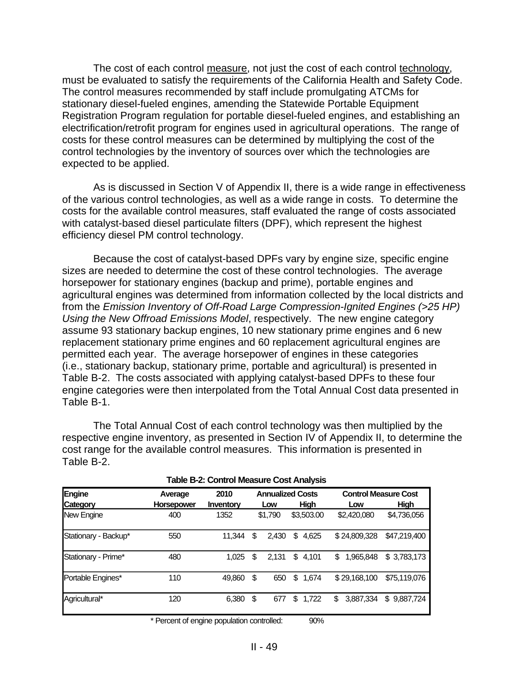The cost of each control measure, not just the cost of each control technology, must be evaluated to satisfy the requirements of the California Health and Safety Code. The control measures recommended by staff include promulgating ATCMs for stationary diesel-fueled engines, amending the Statewide Portable Equipment Registration Program regulation for portable diesel-fueled engines, and establishing an electrification/retrofit program for engines used in agricultural operations. The range of costs for these control measures can be determined by multiplying the cost of the control technologies by the inventory of sources over which the technologies are expected to be applied.

As is discussed in Section V of Appendix II, there is a wide range in effectiveness of the various control technologies, as well as a wide range in costs. To determine the costs for the available control measures, staff evaluated the range of costs associated with catalyst-based diesel particulate filters (DPF), which represent the highest efficiency diesel PM control technology.

Because the cost of catalyst-based DPFs vary by engine size, specific engine sizes are needed to determine the cost of these control technologies. The average horsepower for stationary engines (backup and prime), portable engines and agricultural engines was determined from information collected by the local districts and from the *Emission Inventory of Off-Road Large Compression-Ignited Engines (>25 HP) Using the New Offroad Emissions Model*, respectively. The new engine category assume 93 stationary backup engines, 10 new stationary prime engines and 6 new replacement stationary prime engines and 60 replacement agricultural engines are permitted each year. The average horsepower of engines in these categories (i.e., stationary backup, stationary prime, portable and agricultural) is presented in Table B-2. The costs associated with applying catalyst-based DPFs to these four engine categories were then interpolated from the Total Annual Cost data presented in Table B-1.

The Total Annual Cost of each control technology was then multiplied by the respective engine inventory, as presented in Section IV of Appendix II, to determine the cost range for the available control measures. This information is presented in Table B-2.

|                      | $1900$ P. Song of Model Cool $\alpha$ and $\alpha$ |           |    |         |                         |                             |              |  |  |  |
|----------------------|----------------------------------------------------|-----------|----|---------|-------------------------|-----------------------------|--------------|--|--|--|
| Engine               | Average                                            | 2010      |    |         | <b>Annualized Costs</b> | <b>Control Measure Cost</b> |              |  |  |  |
| Category             | <b>Horsepower</b>                                  | Inventory |    | Low     | Hiah                    | Low                         | Hiah         |  |  |  |
| New Engine           | 400                                                | 1352      |    | \$1,790 | \$3,503.00              | \$2,420,080                 | \$4,736,056  |  |  |  |
| Stationary - Backup* | 550                                                | 11.344    | \$ | 2,430   | 4,625<br>\$             | \$24,809,328                | \$47,219,400 |  |  |  |
| Stationary - Prime*  | 480                                                | 1.025     | \$ | 2,131   | \$<br>4,101             | 1.965.848<br>\$             | \$3,783,173  |  |  |  |
| Portable Engines*    | 110                                                | 49,860    | \$ | 650     | \$<br>1,674             | \$29,168,100                | \$75,119,076 |  |  |  |
| Agricultural*        | 120                                                | 6,380     | \$ | 677     | 1,722<br>\$             | 3,887,334<br>\$             | \$9,887,724  |  |  |  |

| Table B-2: Control Measure Cost Analysis |  |  |
|------------------------------------------|--|--|
|------------------------------------------|--|--|

\* Percent of engine population controlled: 90%